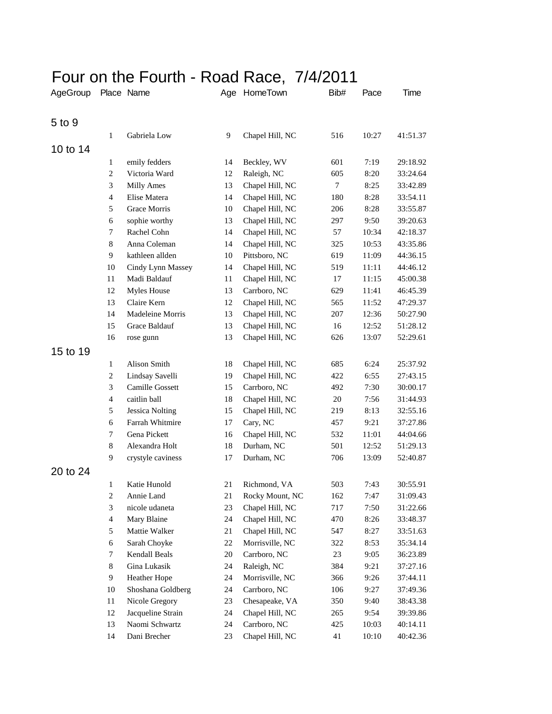## Four on the Fourth - Road Race, 7/4/2011

| AgeGroup |                  | Place Name             |    | Age HomeTown    | Bib#   | Pace  | Time     |
|----------|------------------|------------------------|----|-----------------|--------|-------|----------|
| 5 to 9   |                  |                        |    |                 |        |       |          |
|          | $\mathbf{1}$     | Gabriela Low           | 9  |                 |        | 10:27 |          |
|          |                  |                        |    | Chapel Hill, NC | 516    |       | 41:51.37 |
| 10 to 14 |                  |                        |    |                 |        |       |          |
|          | 1                | emily fedders          | 14 | Beckley, WV     | 601    | 7:19  | 29:18.92 |
|          | $\mathbf{2}$     | Victoria Ward          | 12 | Raleigh, NC     | 605    | 8:20  | 33:24.64 |
|          | 3                | <b>Milly Ames</b>      | 13 | Chapel Hill, NC | $\tau$ | 8:25  | 33:42.89 |
|          | $\overline{4}$   | Elise Matera           | 14 | Chapel Hill, NC | 180    | 8:28  | 33:54.11 |
|          | 5                | Grace Morris           | 10 | Chapel Hill, NC | 206    | 8:28  | 33:55.87 |
|          | 6                | sophie worthy          | 13 | Chapel Hill, NC | 297    | 9:50  | 39:20.63 |
|          | 7                | Rachel Cohn            | 14 | Chapel Hill, NC | 57     | 10:34 | 42:18.37 |
|          | 8                | Anna Coleman           | 14 | Chapel Hill, NC | 325    | 10:53 | 43:35.86 |
|          | 9                | kathleen allden        | 10 | Pittsboro, NC   | 619    | 11:09 | 44:36.15 |
|          | 10               | Cindy Lynn Massey      | 14 | Chapel Hill, NC | 519    | 11:11 | 44:46.12 |
|          | 11               | Madi Baldauf           | 11 | Chapel Hill, NC | 17     | 11:15 | 45:00.38 |
|          | 12               | Myles House            | 13 | Carrboro, NC    | 629    | 11:41 | 46:45.39 |
|          | 13               | Claire Kern            | 12 | Chapel Hill, NC | 565    | 11:52 | 47:29.37 |
|          | 14               | Madeleine Morris       | 13 | Chapel Hill, NC | 207    | 12:36 | 50:27.90 |
|          | 15               | Grace Baldauf          | 13 | Chapel Hill, NC | 16     | 12:52 | 51:28.12 |
|          | 16               | rose gunn              | 13 | Chapel Hill, NC | 626    | 13:07 | 52:29.61 |
| 15 to 19 |                  |                        |    |                 |        |       |          |
|          | $\mathbf{1}$     | Alison Smith           | 18 | Chapel Hill, NC | 685    | 6:24  | 25:37.92 |
|          | $\boldsymbol{2}$ | Lindsay Savelli        | 19 | Chapel Hill, NC | 422    | 6:55  | 27:43.15 |
|          | 3                | Camille Gossett        | 15 | Carrboro, NC    | 492    | 7:30  | 30:00.17 |
|          | $\overline{4}$   | caitlin ball           | 18 | Chapel Hill, NC | 20     | 7:56  | 31:44.93 |
|          | 5                | <b>Jessica Nolting</b> | 15 | Chapel Hill, NC | 219    | 8:13  | 32:55.16 |
|          | 6                | Farrah Whitmire        | 17 | Cary, NC        | 457    | 9:21  | 37:27.86 |
|          | 7                | Gena Pickett           | 16 | Chapel Hill, NC | 532    | 11:01 | 44:04.66 |
|          | 8                | Alexandra Holt         | 18 | Durham, NC      | 501    | 12:52 | 51:29.13 |
|          | 9                | crystyle caviness      | 17 | Durham, NC      | 706    | 13:09 | 52:40.87 |
| 20 to 24 |                  |                        |    |                 |        |       |          |
|          | $\mathbf{1}$     | Katie Hunold           | 21 | Richmond, VA    | 503    | 7:43  | 30:55.91 |
|          | $\boldsymbol{2}$ | Annie Land             | 21 | Rocky Mount, NC | 162    | 7:47  | 31:09.43 |
|          | 3                | nicole udaneta         | 23 | Chapel Hill, NC | 717    | 7:50  | 31:22.66 |
|          | $\overline{4}$   | Mary Blaine            | 24 | Chapel Hill, NC | 470    | 8:26  | 33:48.37 |
|          | 5                | Mattie Walker          | 21 | Chapel Hill, NC | 547    | 8:27  | 33:51.63 |
|          | 6                | Sarah Choyke           | 22 | Morrisville, NC | 322    | 8:53  | 35:34.14 |
|          | 7                | Kendall Beals          | 20 | Carrboro, NC    | 23     | 9:05  | 36:23.89 |
|          | 8                | Gina Lukasik           | 24 | Raleigh, NC     | 384    | 9:21  | 37:27.16 |
|          | 9                | Heather Hope           | 24 | Morrisville, NC | 366    | 9:26  | 37:44.11 |
|          | 10               | Shoshana Goldberg      | 24 | Carrboro, NC    | 106    | 9:27  | 37:49.36 |
|          | 11               | Nicole Gregory         | 23 | Chesapeake, VA  | 350    | 9:40  | 38:43.38 |
|          | 12               | Jacqueline Strain      | 24 | Chapel Hill, NC | 265    | 9:54  | 39:39.86 |
|          | 13               | Naomi Schwartz         | 24 | Carrboro, NC    | 425    | 10:03 | 40:14.11 |
|          | 14               | Dani Brecher           | 23 | Chapel Hill, NC | 41     | 10:10 | 40:42.36 |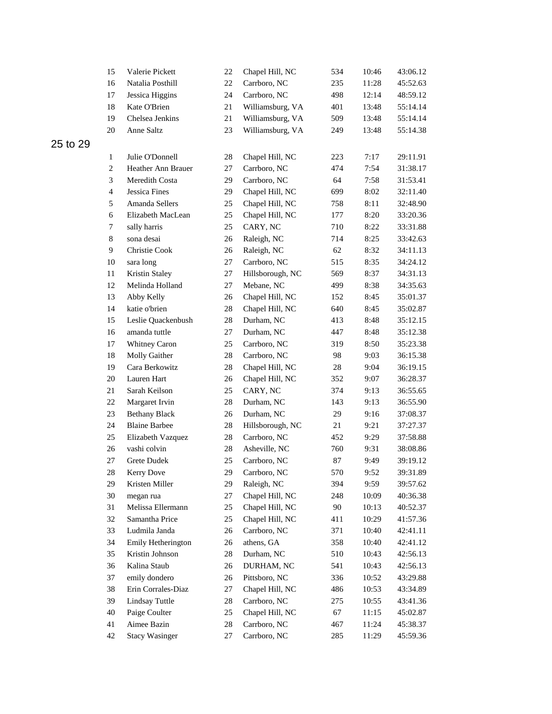|          | 15               | Valerie Pickett       | 22     | Chapel Hill, NC  | 534 | 10:46 | 43:06.12 |
|----------|------------------|-----------------------|--------|------------------|-----|-------|----------|
|          | 16               | Natalia Posthill      | 22     | Carrboro, NC     | 235 | 11:28 | 45:52.63 |
|          | 17               | Jessica Higgins       | 24     | Carrboro, NC     | 498 | 12:14 | 48:59.12 |
|          | 18               | Kate O'Brien          | 21     | Williamsburg, VA | 401 | 13:48 | 55:14.14 |
|          | 19               | Chelsea Jenkins       | 21     | Williamsburg, VA | 509 | 13:48 | 55:14.14 |
|          | 20               | Anne Saltz            | 23     | Williamsburg, VA | 249 | 13:48 | 55:14.38 |
| 25 to 29 |                  |                       |        |                  |     |       |          |
|          | $\mathbf{1}$     | Julie O'Donnell       | 28     | Chapel Hill, NC  | 223 | 7:17  | 29:11.91 |
|          | $\boldsymbol{2}$ | Heather Ann Brauer    | 27     | Carrboro, NC     | 474 | 7:54  | 31:38.17 |
|          | 3                | Meredith Costa        | 29     | Carrboro, NC     | 64  | 7:58  | 31:53.41 |
|          | $\overline{4}$   | Jessica Fines         | 29     | Chapel Hill, NC  | 699 | 8:02  | 32:11.40 |
|          | 5                | Amanda Sellers        | 25     | Chapel Hill, NC  | 758 | 8:11  | 32:48.90 |
|          | 6                | Elizabeth MacLean     | 25     | Chapel Hill, NC  | 177 | 8:20  | 33:20.36 |
|          | 7                | sally harris          | 25     | CARY, NC         | 710 | 8:22  | 33:31.88 |
|          | $\,8\,$          | sona desai            | 26     | Raleigh, NC      | 714 | 8:25  | 33:42.63 |
|          | 9                | Christie Cook         | 26     | Raleigh, NC      | 62  | 8:32  | 34:11.13 |
|          | 10               | sara long             | 27     | Carrboro, NC     | 515 | 8:35  | 34:24.12 |
|          | 11               | Kristin Staley        | 27     | Hillsborough, NC | 569 | 8:37  | 34:31.13 |
|          | 12               | Melinda Holland       | 27     | Mebane, NC       | 499 | 8:38  | 34:35.63 |
|          | 13               | Abby Kelly            | 26     | Chapel Hill, NC  | 152 | 8:45  | 35:01.37 |
|          | 14               | katie o'brien         | 28     | Chapel Hill, NC  | 640 | 8:45  | 35:02.87 |
|          | 15               | Leslie Quackenbush    | 28     | Durham, NC       | 413 | 8:48  | 35:12.15 |
|          | 16               | amanda tuttle         | 27     | Durham, NC       | 447 | 8:48  | 35:12.38 |
|          | 17               | Whitney Caron         | 25     | Carrboro, NC     | 319 | 8:50  | 35:23.38 |
|          | 18               | Molly Gaither         | 28     | Carrboro, NC     | 98  | 9:03  | 36:15.38 |
|          | 19               | Cara Berkowitz        | $28\,$ | Chapel Hill, NC  | 28  | 9:04  | 36:19.15 |
|          | 20               | Lauren Hart           | 26     | Chapel Hill, NC  | 352 | 9:07  | 36:28.37 |
|          | 21               | Sarah Keilson         | 25     | CARY, NC         | 374 | 9:13  | 36:55.65 |
|          | 22               | Margaret Irvin        | 28     | Durham, NC       | 143 | 9:13  | 36:55.90 |
|          | 23               | <b>Bethany Black</b>  | 26     | Durham, NC       | 29  | 9:16  | 37:08.37 |
|          | 24               | <b>Blaine Barbee</b>  | 28     | Hillsborough, NC | 21  | 9:21  | 37:27.37 |
|          | 25               | Elizabeth Vazquez     | 28     | Carrboro, NC     | 452 | 9:29  | 37:58.88 |
|          | 26               | vashi colvin          | $28\,$ | Asheville, NC    | 760 | 9:31  | 38:08.86 |
|          | 27               | Grete Dudek           | 25     | Carrboro, NC     | 87  | 9:49  | 39:19.12 |
|          | 28               | Kerry Dove            | 29     | Carrboro, NC     | 570 | 9:52  | 39:31.89 |
|          | 29               | Kristen Miller        | 29     | Raleigh, NC      | 394 | 9:59  | 39:57.62 |
|          | $30\,$           | megan rua             | 27     | Chapel Hill, NC  | 248 | 10:09 | 40:36.38 |
|          | 31               | Melissa Ellermann     | 25     | Chapel Hill, NC  | 90  | 10:13 | 40:52.37 |
|          | 32               | Samantha Price        | 25     | Chapel Hill, NC  | 411 | 10:29 | 41:57.36 |
|          | 33               | Ludmila Janda         | 26     | Carrboro, NC     | 371 | 10:40 | 42:41.11 |
|          | 34               | Emily Hetherington    | 26     | athens, GA       | 358 | 10:40 | 42:41.12 |
|          | 35               | Kristin Johnson       | 28     | Durham, NC       | 510 | 10:43 | 42:56.13 |
|          | 36               | Kalina Staub          | 26     | DURHAM, NC       | 541 | 10:43 | 42:56.13 |
|          | 37               | emily dondero         | 26     | Pittsboro, NC    | 336 | 10:52 | 43:29.88 |
|          | 38               | Erin Corrales-Diaz    | 27     | Chapel Hill, NC  | 486 | 10:53 | 43:34.89 |
|          | 39               | Lindsay Tuttle        | 28     | Carrboro, NC     | 275 | 10:55 | 43:41.36 |
|          | $40\,$           | Paige Coulter         | 25     | Chapel Hill, NC  | 67  | 11:15 | 45:02.87 |
|          | 41               | Aimee Bazin           | 28     | Carrboro, NC     | 467 | 11:24 | 45:38.37 |
|          | 42               | <b>Stacy Wasinger</b> | 27     | Carrboro, NC     | 285 | 11:29 | 45:59.36 |
|          |                  |                       |        |                  |     |       |          |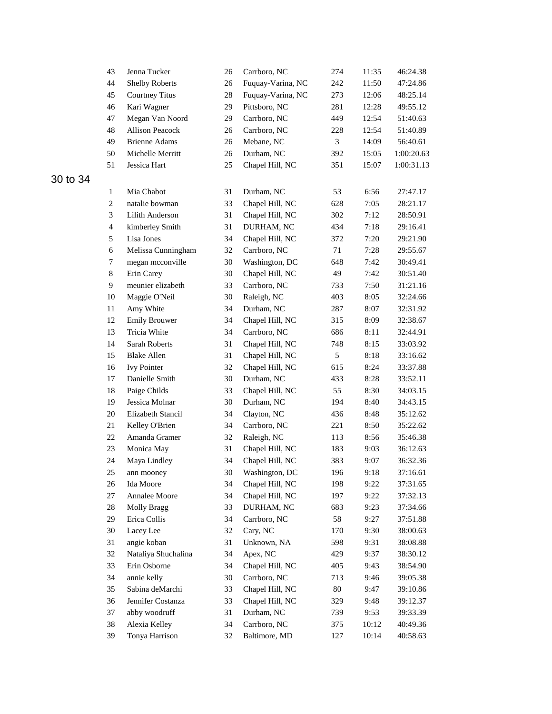| 43             | Jenna Tucker           | 26 | Carrboro, NC      | 274            | 11:35 | 46:24.38   |
|----------------|------------------------|----|-------------------|----------------|-------|------------|
| 44             | <b>Shelby Roberts</b>  | 26 | Fuquay-Varina, NC | 242            | 11:50 | 47:24.86   |
| 45             | <b>Courtney Titus</b>  | 28 | Fuquay-Varina, NC | 273            | 12:06 | 48:25.14   |
| 46             | Kari Wagner            | 29 | Pittsboro, NC     | 281            | 12:28 | 49:55.12   |
| 47             | Megan Van Noord        | 29 | Carrboro, NC      | 449            | 12:54 | 51:40.63   |
| 48             | <b>Allison Peacock</b> | 26 | Carrboro, NC      | 228            | 12:54 | 51:40.89   |
| 49             | <b>Brienne Adams</b>   | 26 | Mebane, NC        | $\mathfrak{Z}$ | 14:09 | 56:40.61   |
| 50             | Michelle Merritt       | 26 | Durham, NC        | 392            | 15:05 | 1:00:20.63 |
| 51             | Jessica Hart           | 25 | Chapel Hill, NC   | 351            | 15:07 | 1:00:31.13 |
| 1              | Mia Chabot             | 31 | Durham, NC        | 53             | 6:56  | 27:47.17   |
| $\overline{c}$ | natalie bowman         | 33 | Chapel Hill, NC   | 628            | 7:05  | 28:21.17   |
| 3              | Lilith Anderson        | 31 | Chapel Hill, NC   | 302            | 7:12  | 28:50.91   |
| $\overline{4}$ | kimberley Smith        | 31 | DURHAM, NC        | 434            | 7:18  | 29:16.41   |
| 5              | Lisa Jones             | 34 | Chapel Hill, NC   | 372            | 7:20  | 29:21.90   |
| 6              | Melissa Cunningham     | 32 | Carrboro, NC      | 71             | 7:28  | 29:55.67   |
| 7              | megan mcconville       | 30 | Washington, DC    | 648            | 7:42  | 30:49.41   |
| 8              | Erin Carey             | 30 | Chapel Hill, NC   | 49             | 7:42  | 30:51.40   |
| 9              | meunier elizabeth      | 33 | Carrboro, NC      | 733            | 7:50  | 31:21.16   |
| 10             | Maggie O'Neil          | 30 | Raleigh, NC       | 403            | 8:05  | 32:24.66   |
| 11             | Amy White              | 34 | Durham, NC        | 287            | 8:07  | 32:31.92   |
| 12             | <b>Emily Brouwer</b>   | 34 | Chapel Hill, NC   | 315            | 8:09  | 32:38.67   |
| 13             | Tricia White           | 34 | Carrboro, NC      | 686            | 8:11  | 32:44.91   |
| 14             | Sarah Roberts          | 31 | Chapel Hill, NC   | 748            | 8:15  | 33:03.92   |
| 15             | <b>Blake Allen</b>     | 31 | Chapel Hill, NC   | 5              | 8:18  | 33:16.62   |
| 16             | <b>Ivy Pointer</b>     | 32 | Chapel Hill, NC   | 615            | 8:24  | 33:37.88   |
| 17             | Danielle Smith         | 30 | Durham, NC        | 433            | 8:28  | 33:52.11   |
| $18\,$         | Paige Childs           | 33 | Chapel Hill, NC   | 55             | 8:30  | 34:03.15   |
| 19             | Jessica Molnar         | 30 | Durham, NC        | 194            | 8:40  | 34:43.15   |
| 20             | Elizabeth Stancil      | 34 | Clayton, NC       | 436            | 8:48  | 35:12.62   |
| 21             | Kelley O'Brien         | 34 | Carrboro, NC      | 221            | 8:50  | 35:22.62   |
| 22             | Amanda Gramer          | 32 | Raleigh, NC       | 113            | 8:56  | 35:46.38   |
| 23             | Monica May             | 31 | Chapel Hill, NC   | 183            | 9:03  | 36:12.63   |
| 24             | Maya Lindley           | 34 | Chapel Hill, NC   | 383            | 9:07  | 36:32.36   |
| 25             | ann mooney             | 30 | Washington, DC    | 196            | 9:18  | 37:16.61   |
| 26             | Ida Moore              | 34 | Chapel Hill, NC   | 198            | 9:22  | 37:31.65   |
| 27             | Annalee Moore          | 34 | Chapel Hill, NC   | 197            | 9:22  | 37:32.13   |
| 28             | <b>Molly Bragg</b>     | 33 | DURHAM, NC        | 683            | 9:23  | 37:34.66   |
| 29             | Erica Collis           | 34 | Carrboro, NC      | 58             | 9:27  | 37:51.88   |
| 30             | Lacey Lee              | 32 | Cary, NC          | 170            | 9:30  | 38:00.63   |
| 31             | angie koban            | 31 | Unknown, NA       | 598            | 9:31  | 38:08.88   |
| 32             | Nataliya Shuchalina    | 34 | Apex, NC          | 429            | 9:37  | 38:30.12   |
| 33             | Erin Osborne           | 34 | Chapel Hill, NC   | 405            | 9:43  | 38:54.90   |
| 34             | annie kelly            | 30 | Carrboro, NC      | 713            | 9:46  | 39:05.38   |
| 35             | Sabina deMarchi        | 33 | Chapel Hill, NC   | 80             | 9:47  | 39:10.86   |
| 36             | Jennifer Costanza      | 33 | Chapel Hill, NC   | 329            | 9:48  | 39:12.37   |
| 37             | abby woodruff          | 31 | Durham, NC        | 739            | 9:53  | 39:33.39   |
| 38             | Alexia Kelley          | 34 | Carrboro, NC      | 375            | 10:12 | 40:49.36   |
| 39             | Tonya Harrison         | 32 | Baltimore, MD     | 127            | 10:14 | 40:58.63   |
|                |                        |    |                   |                |       |            |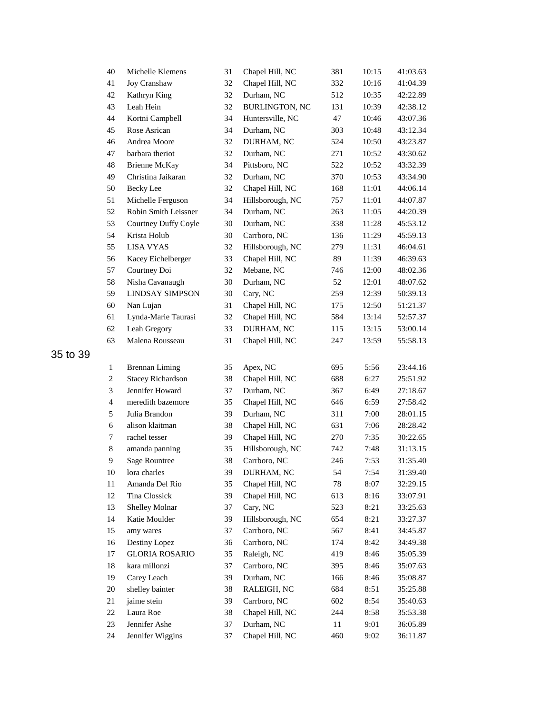| 40           | Michelle Klemens         | 31 | Chapel Hill, NC       | 381 | 10:15 | 41:03.63 |
|--------------|--------------------------|----|-----------------------|-----|-------|----------|
| 41           | Joy Cranshaw             | 32 | Chapel Hill, NC       | 332 | 10:16 | 41:04.39 |
| 42           | Kathryn King             | 32 | Durham, NC            | 512 | 10:35 | 42:22.89 |
| 43           | Leah Hein                | 32 | <b>BURLINGTON, NC</b> | 131 | 10:39 | 42:38.12 |
| 44           | Kortni Campbell          | 34 | Huntersville, NC      | 47  | 10:46 | 43:07.36 |
| 45           | Rose Asrican             | 34 | Durham, NC            | 303 | 10:48 | 43:12.34 |
| 46           | Andrea Moore             | 32 | DURHAM, NC            | 524 | 10:50 | 43:23.87 |
| 47           | barbara theriot          | 32 | Durham, NC            | 271 | 10:52 | 43:30.62 |
| 48           | <b>Brienne McKay</b>     | 34 | Pittsboro, NC         | 522 | 10:52 | 43:32.39 |
| 49           | Christina Jaikaran       | 32 | Durham, NC            | 370 | 10:53 | 43:34.90 |
| 50           | <b>Becky</b> Lee         | 32 | Chapel Hill, NC       | 168 | 11:01 | 44:06.14 |
| 51           | Michelle Ferguson        | 34 | Hillsborough, NC      | 757 | 11:01 | 44:07.87 |
| 52           | Robin Smith Leissner     | 34 | Durham, NC            | 263 | 11:05 | 44:20.39 |
| 53           | Courtney Duffy Coyle     | 30 | Durham, NC            | 338 | 11:28 | 45:53.12 |
| 54           | Krista Holub             | 30 | Carrboro, NC          | 136 | 11:29 | 45:59.13 |
| 55           | <b>LISA VYAS</b>         | 32 | Hillsborough, NC      | 279 | 11:31 | 46:04.61 |
| 56           | Kacey Eichelberger       | 33 | Chapel Hill, NC       | 89  | 11:39 | 46:39.63 |
| 57           | Courtney Doi             | 32 | Mebane, NC            | 746 | 12:00 | 48:02.36 |
| 58           | Nisha Cavanaugh          | 30 | Durham, NC            | 52  | 12:01 | 48:07.62 |
| 59           | <b>LINDSAY SIMPSON</b>   | 30 | Cary, NC              | 259 | 12:39 | 50:39.13 |
| 60           | Nan Lujan                | 31 | Chapel Hill, NC       | 175 | 12:50 | 51:21.37 |
| 61           | Lynda-Marie Taurasi      | 32 | Chapel Hill, NC       | 584 | 13:14 | 52:57.37 |
| 62           | Leah Gregory             | 33 | DURHAM, NC            | 115 | 13:15 | 53:00.14 |
| 63           | Malena Rousseau          | 31 | Chapel Hill, NC       | 247 | 13:59 | 55:58.13 |
|              |                          |    |                       |     |       |          |
| $\mathbf{1}$ | <b>Brennan Liming</b>    | 35 | Apex, NC              | 695 | 5:56  | 23:44.16 |
| 2            | <b>Stacey Richardson</b> | 38 | Chapel Hill, NC       | 688 | 6:27  | 25:51.92 |
| 3            | Jennifer Howard          | 37 | Durham, NC            | 367 | 6:49  | 27:18.67 |
| 4            | meredith bazemore        | 35 | Chapel Hill, NC       | 646 | 6:59  | 27:58.42 |
| 5            | Julia Brandon            | 39 | Durham, NC            | 311 | 7:00  | 28:01.15 |
| 6            | alison klaitman          | 38 | Chapel Hill, NC       | 631 | 7:06  | 28:28.42 |
| $\tau$       | rachel tesser            | 39 | Chapel Hill, NC       | 270 | 7:35  | 30:22.65 |
| 8            | amanda panning           | 35 | Hillsborough, NC      | 742 | 7:48  | 31:13.15 |
| 9            | <b>Sage Rountree</b>     | 38 | Carrboro, NC          | 246 | 7:53  | 31:35.40 |
| $10\,$       | lora charles             | 39 | DURHAM, NC            | 54  | 7:54  | 31:39.40 |
| 11           | Amanda Del Rio           | 35 | Chapel Hill, NC       | 78  | 8:07  | 32:29.15 |
| 12           | Tina Clossick            | 39 | Chapel Hill, NC       | 613 | 8:16  | 33:07.91 |
| 13           | Shelley Molnar           | 37 | Cary, NC              | 523 | 8:21  | 33:25.63 |
| 14           | Katie Moulder            | 39 | Hillsborough, NC      | 654 | 8:21  | 33:27.37 |
| 15           | amy wares                | 37 | Carrboro, NC          | 567 | 8:41  | 34:45.87 |
| 16           | Destiny Lopez            | 36 | Carrboro, NC          | 174 | 8:42  | 34:49.38 |
| 17           | <b>GLORIA ROSARIO</b>    | 35 | Raleigh, NC           | 419 | 8:46  | 35:05.39 |
| 18           | kara millonzi            | 37 | Carrboro, NC          | 395 | 8:46  | 35:07.63 |
| 19           | Carey Leach              | 39 | Durham, NC            | 166 | 8:46  | 35:08.87 |
| 20           | shelley bainter          | 38 | RALEIGH, NC           | 684 | 8:51  | 35:25.88 |
| 21           | jaime stein              | 39 | Carrboro, NC          | 602 | 8:54  | 35:40.63 |
| 22           | Laura Roe                | 38 | Chapel Hill, NC       | 244 | 8:58  | 35:53.38 |
| 23           | Jennifer Ashe            | 37 | Durham, NC            | 11  | 9:01  | 36:05.89 |
| 24           | Jennifer Wiggins         | 37 | Chapel Hill, NC       | 460 | 9:02  | 36:11.87 |
|              |                          |    |                       |     |       |          |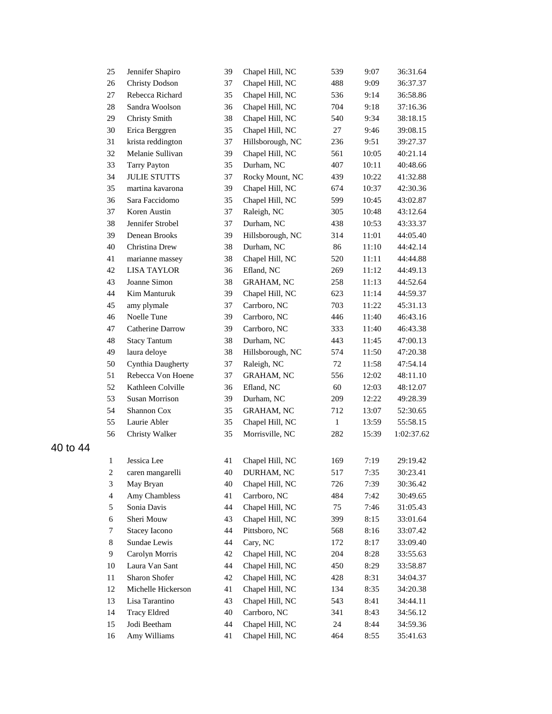| 25             | Jennifer Shapiro      | 39 | Chapel Hill, NC   | 539          | 9:07  | 36:31.64   |
|----------------|-----------------------|----|-------------------|--------------|-------|------------|
| 26             | <b>Christy Dodson</b> | 37 | Chapel Hill, NC   | 488          | 9:09  | 36:37.37   |
| 27             | Rebecca Richard       | 35 | Chapel Hill, NC   | 536          | 9:14  | 36:58.86   |
| 28             | Sandra Woolson        | 36 | Chapel Hill, NC   | 704          | 9:18  | 37:16.36   |
| 29             | Christy Smith         | 38 | Chapel Hill, NC   | 540          | 9:34  | 38:18.15   |
| 30             | Erica Berggren        | 35 | Chapel Hill, NC   | 27           | 9:46  | 39:08.15   |
| 31             | krista reddington     | 37 | Hillsborough, NC  | 236          | 9:51  | 39:27.37   |
| 32             | Melanie Sullivan      | 39 | Chapel Hill, NC   | 561          | 10:05 | 40:21.14   |
| 33             | <b>Tarry Payton</b>   | 35 | Durham, NC        | 407          | 10:11 | 40:48.66   |
| 34             | <b>JULIE STUTTS</b>   | 37 | Rocky Mount, NC   | 439          | 10:22 | 41:32.88   |
| 35             | martina kavarona      | 39 | Chapel Hill, NC   | 674          | 10:37 | 42:30.36   |
| 36             | Sara Faccidomo        | 35 | Chapel Hill, NC   | 599          | 10:45 | 43:02.87   |
| 37             | Koren Austin          | 37 | Raleigh, NC       | 305          | 10:48 | 43:12.64   |
| 38             | Jennifer Strobel      | 37 | Durham, NC        | 438          | 10:53 | 43:33.37   |
| 39             | Denean Brooks         | 39 | Hillsborough, NC  | 314          | 11:01 | 44:05.40   |
| 40             | Christina Drew        | 38 | Durham, NC        | 86           | 11:10 | 44:42.14   |
| 41             | marianne massey       | 38 | Chapel Hill, NC   | 520          | 11:11 | 44:44.88   |
| 42             | <b>LISA TAYLOR</b>    | 36 | Efland, NC        | 269          | 11:12 | 44:49.13   |
| 43             | Joanne Simon          | 38 | <b>GRAHAM, NC</b> | 258          | 11:13 | 44:52.64   |
| 44             | Kim Manturuk          | 39 | Chapel Hill, NC   | 623          | 11:14 | 44:59.37   |
| 45             | amy plymale           | 37 | Carrboro, NC      | 703          | 11:22 | 45:31.13   |
| 46             | Noelle Tune           | 39 | Carrboro, NC      | 446          | 11:40 | 46:43.16   |
| 47             | Catherine Darrow      | 39 | Carrboro, NC      | 333          | 11:40 | 46:43.38   |
| 48             | <b>Stacy Tantum</b>   | 38 | Durham, NC        | 443          | 11:45 | 47:00.13   |
| 49             | laura deloye          | 38 | Hillsborough, NC  | 574          | 11:50 | 47:20.38   |
| 50             | Cynthia Daugherty     | 37 | Raleigh, NC       | 72           | 11:58 | 47:54.14   |
| 51             | Rebecca Von Hoene     | 37 | <b>GRAHAM, NC</b> | 556          | 12:02 | 48:11.10   |
| 52             | Kathleen Colville     | 36 | Efland, NC        | 60           | 12:03 | 48:12.07   |
| 53             | Susan Morrison        | 39 | Durham, NC        | 209          | 12:22 | 49:28.39   |
| 54             | Shannon Cox           | 35 | <b>GRAHAM, NC</b> | 712          | 13:07 | 52:30.65   |
| 55             | Laurie Abler          | 35 | Chapel Hill, NC   | $\mathbf{1}$ | 13:59 | 55:58.15   |
| 56             | Christy Walker        | 35 | Morrisville, NC   | 282          | 15:39 | 1:02:37.62 |
|                |                       |    |                   |              |       |            |
| $\mathbf{1}$   | Jessica Lee           | 41 | Chapel Hill, NC   | 169          | 7:19  | 29:19.42   |
| $\overline{c}$ | caren mangarelli      |    | 40 DURHAM, NC     | 517          | 7:35  | 30:23.41   |
| $\sqrt{3}$     | May Bryan             | 40 | Chapel Hill, NC   | 726          | 7:39  | 30:36.42   |
| $\overline{4}$ | Amy Chambless         | 41 | Carrboro, NC      | 484          | 7:42  | 30:49.65   |
| 5              | Sonia Davis           | 44 | Chapel Hill, NC   | 75           | 7:46  | 31:05.43   |
| 6              | Sheri Mouw            | 43 | Chapel Hill, NC   | 399          | 8:15  | 33:01.64   |
| 7              | <b>Stacey Iacono</b>  | 44 | Pittsboro, NC     | 568          | 8:16  | 33:07.42   |
| $\,8\,$        | Sundae Lewis          | 44 | Cary, NC          | 172          | 8:17  | 33:09.40   |
| 9              | Carolyn Morris        | 42 | Chapel Hill, NC   | 204          | 8:28  | 33:55.63   |
| 10             | Laura Van Sant        | 44 | Chapel Hill, NC   | 450          | 8:29  | 33:58.87   |
| 11             | Sharon Shofer         | 42 | Chapel Hill, NC   | 428          | 8:31  | 34:04.37   |
| 12             | Michelle Hickerson    | 41 | Chapel Hill, NC   | 134          | 8:35  | 34:20.38   |
| 13             | Lisa Tarantino        | 43 | Chapel Hill, NC   | 543          | 8:41  | 34:44.11   |
| 14             | <b>Tracy Eldred</b>   | 40 | Carrboro, NC      | 341          | 8:43  | 34:56.12   |
| 15             | Jodi Beetham          | 44 | Chapel Hill, NC   | 24           | 8:44  | 34:59.36   |
| 16             | Amy Williams          | 41 | Chapel Hill, NC   | 464          | 8:55  | 35:41.63   |
|                |                       |    |                   |              |       |            |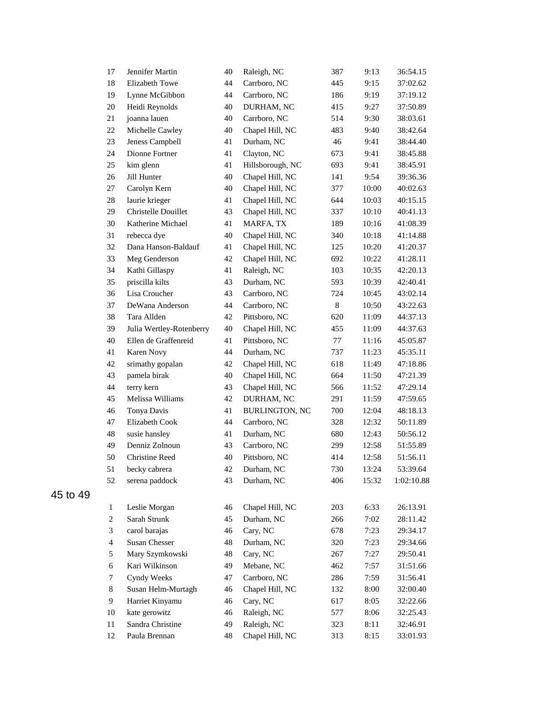| 17                      | Jennifer Martin          | 40 | Raleigh, NC           | 387     | 9:13  | 36:54.15   |
|-------------------------|--------------------------|----|-----------------------|---------|-------|------------|
| 18                      | <b>Elizabeth Towe</b>    | 44 | Carrboro, NC          | 445     | 9:15  | 37:02.62   |
| 19                      | Lynne McGibbon           | 44 | Carrboro, NC          | 186     | 9:19  | 37:19.12   |
| 20                      | Heidi Reynolds           | 40 | DURHAM, NC            | 415     | 9:27  | 37:50.89   |
| 21                      | joanna lauen             | 40 | Carrboro, NC          | 514     | 9:30  | 38:03.61   |
| 22                      | Michelle Cawley          | 40 | Chapel Hill, NC       | 483     | 9:40  | 38:42.64   |
| 23                      | Jeness Campbell          | 41 | Durham, NC            | 46      | 9:41  | 38:44.40   |
| 24                      | Dionne Fortner           | 41 | Clayton, NC           | 673     | 9:41  | 38:45.88   |
| 25                      | kim glenn                | 41 | Hillsborough, NC      | 693     | 9:41  | 38:45.91   |
| 26                      | Jill Hunter              | 40 | Chapel Hill, NC       | 141     | 9:54  | 39:36.36   |
| 27                      | Carolyn Kern             | 40 | Chapel Hill, NC       | 377     | 10:00 | 40:02.63   |
| 28                      | laurie krieger           | 41 | Chapel Hill, NC       | 644     | 10:03 | 40:15.15   |
| 29                      | Christelle Douillet      | 43 | Chapel Hill, NC       | 337     | 10:10 | 40:41.13   |
| 30                      | Katherine Michael        | 41 | MARFA, TX             | 189     | 10:16 | 41:08.39   |
| 31                      | rebecca dye              | 40 | Chapel Hill, NC       | 340     | 10:18 | 41:14.88   |
| 32                      | Dana Hanson-Baldauf      | 41 | Chapel Hill, NC       | 125     | 10:20 | 41:20.37   |
| 33                      | Meg Genderson            | 42 | Chapel Hill, NC       | 692     | 10:22 | 41:28.11   |
| 34                      | Kathi Gillaspy           | 41 | Raleigh, NC           | 103     | 10:35 | 42:20.13   |
| 35                      | priscilla kilts          | 43 | Durham, NC            | 593     | 10:39 | 42:40.41   |
| 36                      | Lisa Croucher            | 43 | Carrboro, NC          | 724     | 10:45 | 43:02.14   |
| 37                      | DeWana Anderson          | 44 | Carrboro, NC          | $\,8\,$ | 10:50 | 43:22.63   |
| 38                      | Tara Allden              | 42 | Pittsboro, NC         | 620     | 11:09 | 44:37.13   |
| 39                      | Julia Wertley-Rotenberry | 40 | Chapel Hill, NC       | 455     | 11:09 | 44:37.63   |
| 40                      | Ellen de Graffenreid     | 41 | Pittsboro, NC         | 77      | 11:16 | 45:05.87   |
| 41                      | Karen Novy               | 44 | Durham, NC            | 737     | 11:23 | 45:35.11   |
| 42                      | srimathy gopalan         | 42 | Chapel Hill, NC       | 618     | 11:49 | 47:18.86   |
| 43                      | pamela birak             | 40 | Chapel Hill, NC       | 664     | 11:50 | 47:21.39   |
| 44                      | terry kern               | 43 | Chapel Hill, NC       | 566     | 11:52 | 47:29.14   |
| 45                      | Melissa Williams         | 42 | DURHAM, NC            | 291     | 11:59 | 47:59.65   |
| 46                      | Tonya Davis              | 41 | <b>BURLINGTON, NC</b> | 700     | 12:04 | 48:18.13   |
| 47                      | Elizabeth Cook           | 44 | Carrboro, NC          | 328     | 12:32 | 50:11.89   |
| 48                      | susie hansley            | 41 | Durham, NC            | 680     | 12:43 | 50:56.12   |
| 49                      | Denniz Zolnoun           | 43 | Carrboro, NC          | 299     | 12:58 | 51:55.89   |
| 50                      | <b>Christine Reed</b>    | 40 | Pittsboro, NC         | 414     | 12:58 | 51:56.11   |
| 51                      | becky cabrera            | 42 | Durham, NC            | 730     | 13:24 | 53:39.64   |
| 52                      | serena paddock           | 43 | Durham, NC            | 406     | 15:32 | 1:02:10.88 |
|                         |                          |    |                       |         |       |            |
| $\mathbf{1}$            | Leslie Morgan            | 46 | Chapel Hill, NC       | 203     | 6:33  | 26:13.91   |
| $\boldsymbol{2}$        | Sarah Strunk             | 45 | Durham, NC            | 266     | 7:02  | 28:11.42   |
| 3                       | carol barajas            | 46 | Cary, NC              | 678     | 7:23  | 29:34.17   |
| $\overline{\mathbf{4}}$ | <b>Susan Chesser</b>     | 48 | Durham, NC            | 320     | 7:23  | 29:34.66   |
| 5                       | Mary Szymkowski          | 48 | Cary, NC              | 267     | 7:27  | 29:50.41   |
| 6                       | Kari Wilkinson           | 49 | Mebane, NC            | 462     | 7:57  | 31:51.66   |
| 7                       | Cyndy Weeks              | 47 | Carrboro, NC          | 286     | 7:59  | 31:56.41   |
| 8                       | Susan Helm-Murtagh       | 46 | Chapel Hill, NC       | 132     | 8:00  | 32:00.40   |
| 9                       | Harriet Kinyamu          | 46 | Cary, NC              | 617     | 8:05  | 32:22.66   |
| 10                      | kate gerowitz            | 46 | Raleigh, NC           | 577     | 8:06  | 32:25.43   |
| 11                      | Sandra Christine         | 49 | Raleigh, NC           | 323     | 8:11  | 32:46.91   |
| 12                      | Paula Brennan            | 48 | Chapel Hill, NC       | 313     | 8:15  | 33:01.93   |
|                         |                          |    |                       |         |       |            |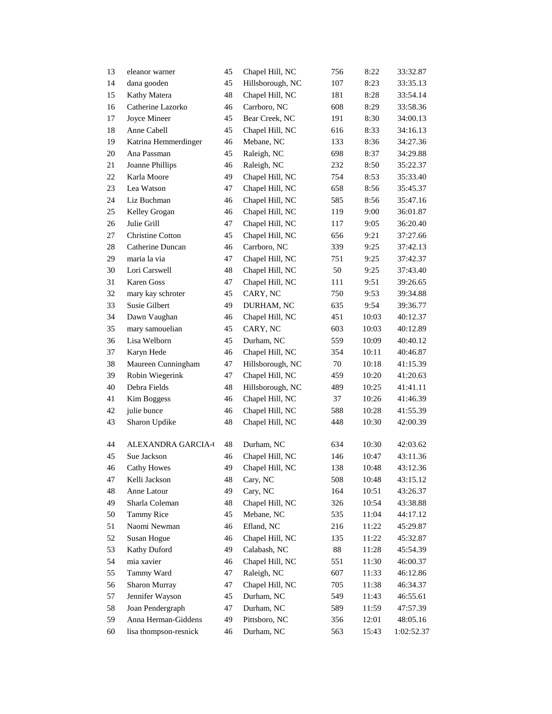| 13       | eleanor warner                      | 45       | Chapel Hill, NC               | 756           | 8:22           | 33:32.87               |
|----------|-------------------------------------|----------|-------------------------------|---------------|----------------|------------------------|
| 14       | dana gooden                         | 45       | Hillsborough, NC              | 107           | 8:23           | 33:35.13               |
| 15       | Kathy Matera                        | 48       | Chapel Hill, NC               | 181           | 8:28           | 33:54.14               |
| 16       | Catherine Lazorko                   | 46       | Carrboro, NC                  | 608           | 8:29           | 33:58.36               |
| 17       | Joyce Mineer                        | 45       | Bear Creek, NC                | 191           | 8:30           | 34:00.13               |
| 18       | Anne Cabell                         | 45       | Chapel Hill, NC               | 616           | 8:33           | 34:16.13               |
| 19       | Katrina Hemmerdinger                | 46       | Mebane, NC                    | 133           | 8:36           | 34:27.36               |
| 20       | Ana Passman                         | 45       | Raleigh, NC                   | 698           | 8:37           | 34:29.88               |
| 21       | Joanne Phillips                     | 46       | Raleigh, NC                   | 232           | 8:50           | 35:22.37               |
| 22       | Karla Moore                         | 49       | Chapel Hill, NC               | 754           | 8:53           | 35:33.40               |
| 23       | Lea Watson                          | 47       | Chapel Hill, NC               | 658           | 8:56           | 35:45.37               |
| 24       | Liz Buchman                         | 46       | Chapel Hill, NC               | 585           | 8:56           | 35:47.16               |
| 25       | Kelley Grogan                       | 46       | Chapel Hill, NC               | 119           | 9:00           | 36:01.87               |
| 26       | Julie Grill                         | 47       | Chapel Hill, NC               | 117           | 9:05           | 36:20.40               |
| 27       | Christine Cotton                    | 45       | Chapel Hill, NC               | 656           | 9:21           | 37:27.66               |
| 28       | Catherine Duncan                    | 46       | Carrboro, NC                  | 339           | 9:25           | 37:42.13               |
| 29       | maria la via                        | 47       | Chapel Hill, NC               | 751           | 9:25           | 37:42.37               |
| 30       | Lori Carswell                       | 48       | Chapel Hill, NC               | 50            | 9:25           | 37:43.40               |
| 31       | <b>Karen Goss</b>                   | 47       | Chapel Hill, NC               | 111           | 9:51           | 39:26.65               |
| 32       | mary kay schroter                   | 45       | CARY, NC                      | 750           | 9:53           | 39:34.88               |
| 33       | <b>Susie Gilbert</b>                | 49       | DURHAM, NC                    | 635           | 9:54           | 39:36.77               |
| 34       | Dawn Vaughan                        | 46       | Chapel Hill, NC               | 451           | 10:03          | 40:12.37               |
| 35       | mary samouelian                     | 45       | CARY, NC                      | 603           | 10:03          | 40:12.89               |
| 36       | Lisa Welborn                        | 45       | Durham, NC                    | 559           | 10:09          | 40:40.12               |
| 37       | Karyn Hede                          | 46       | Chapel Hill, NC               | 354           | 10:11          | 40:46.87               |
| 38       | Maureen Cunningham                  | 47       | Hillsborough, NC              | 70            | 10:18          | 41:15.39               |
| 39       | Robin Wiegerink                     | 47       | Chapel Hill, NC               | 459           | 10:20          | 41:20.63               |
| 40       | Debra Fields                        | 48       | Hillsborough, NC              | 489           | 10:25          | 41:41.11               |
| 41       | Kim Boggess                         | 46       | Chapel Hill, NC               | 37            | 10:26          | 41:46.39               |
| 42       | julie bunce                         | 46       | Chapel Hill, NC               | 588           | 10:28          | 41:55.39               |
| 43       | Sharon Updike                       | 48       | Chapel Hill, NC               | 448           | 10:30          | 42:00.39               |
| 44       | <b>ALEXANDRA GARCIA-0</b>           | 48       | Durham, NC                    | 634           | 10:30          | 42:03.62               |
| 45       | Sue Jackson                         | 46       |                               | 146           | 10:47          |                        |
| 46       | <b>Cathy Howes</b>                  | 49       | Chapel Hill, NC               | 138           | 10:48          | 43:11.36<br>43:12.36   |
| 47       | Kelli Jackson                       | 48       | Chapel Hill, NC               | 508           | 10:48          | 43:15.12               |
| 48       | Anne Latour                         | 49       | Cary, NC<br>Cary, NC          | 164           | 10:51          | 43:26.37               |
| 49       | Sharla Coleman                      | 48       | Chapel Hill, NC               | 326           | 10:54          | 43:38.88               |
| 50       | <b>Tammy Rice</b>                   | 45       | Mebane, NC                    | 535           | 11:04          | 44:17.12               |
| 51       | Naomi Newman                        |          | Efland, NC                    |               |                |                        |
|          | Susan Hogue                         | 46       | Chapel Hill, NC               | 216           | 11:22          | 45:29.87               |
| 52<br>53 |                                     | 46<br>49 | Calabash, NC                  | 135<br>$88\,$ | 11:22<br>11:28 | 45:32.87               |
| 54       | Kathy Duford<br>mia xavier          | 46       | Chapel Hill, NC               | 551           |                | 45:54.39<br>46:00.37   |
| 55       | Tammy Ward                          |          | Raleigh, NC                   | 607           | 11:30<br>11:33 |                        |
|          | Sharon Murray                       | 47       |                               |               |                | 46:12.86               |
| 56<br>57 |                                     | 47       | Chapel Hill, NC<br>Durham, NC | 705           | 11:38          | 46:34.37               |
| 58       | Jennifer Wayson<br>Joan Pendergraph | 45<br>47 | Durham, NC                    | 549<br>589    | 11:43          | 46:55.61               |
|          | Anna Herman-Giddens                 |          | Pittsboro, NC                 |               | 11:59          | 47:57.39               |
| 59<br>60 | lisa thompson-resnick               | 49<br>46 | Durham, NC                    | 356<br>563    | 12:01<br>15:43 | 48:05.16<br>1:02:52.37 |
|          |                                     |          |                               |               |                |                        |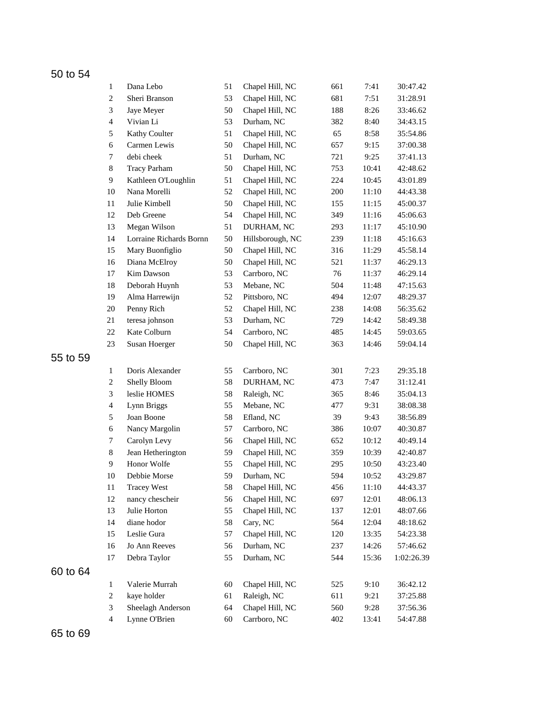|          | $\mathbf{1}$                | Dana Lebo               | 51 | Chapel Hill, NC  | 661 | 7:41  | 30:47.42   |
|----------|-----------------------------|-------------------------|----|------------------|-----|-------|------------|
|          | $\boldsymbol{2}$            | Sheri Branson           | 53 | Chapel Hill, NC  | 681 | 7:51  | 31:28.91   |
|          | $\ensuremath{\mathfrak{Z}}$ | Jaye Meyer              | 50 | Chapel Hill, NC  | 188 | 8:26  | 33:46.62   |
|          | $\overline{4}$              | Vivian Li               | 53 | Durham, NC       | 382 | 8:40  | 34:43.15   |
|          | 5                           | Kathy Coulter           | 51 | Chapel Hill, NC  | 65  | 8:58  | 35:54.86   |
|          | 6                           | Carmen Lewis            | 50 | Chapel Hill, NC  | 657 | 9:15  | 37:00.38   |
|          | $\tau$                      | debi cheek              | 51 | Durham, NC       | 721 | 9:25  | 37:41.13   |
|          | $\,8$                       | <b>Tracy Parham</b>     | 50 | Chapel Hill, NC  | 753 | 10:41 | 42:48.62   |
|          | $\overline{9}$              | Kathleen O'Loughlin     | 51 | Chapel Hill, NC  | 224 | 10:45 | 43:01.89   |
|          | 10                          | Nana Morelli            | 52 | Chapel Hill, NC  | 200 | 11:10 | 44:43.38   |
|          | 11                          | Julie Kimbell           | 50 | Chapel Hill, NC  | 155 | 11:15 | 45:00.37   |
|          | 12                          | Deb Greene              | 54 | Chapel Hill, NC  | 349 | 11:16 | 45:06.63   |
|          | 13                          | Megan Wilson            | 51 | DURHAM, NC       | 293 | 11:17 | 45:10.90   |
|          | 14                          | Lorraine Richards Bornn | 50 | Hillsborough, NC | 239 | 11:18 | 45:16.63   |
|          | 15                          | Mary Buonfiglio         | 50 | Chapel Hill, NC  | 316 | 11:29 | 45:58.14   |
|          | 16                          | Diana McElroy           | 50 | Chapel Hill, NC  | 521 | 11:37 | 46:29.13   |
|          | 17                          | Kim Dawson              | 53 | Carrboro, NC     | 76  | 11:37 | 46:29.14   |
|          | $18\,$                      | Deborah Huynh           | 53 | Mebane, NC       | 504 | 11:48 | 47:15.63   |
|          | 19                          | Alma Harrewijn          | 52 | Pittsboro, NC    | 494 | 12:07 | 48:29.37   |
|          | 20                          | Penny Rich              | 52 | Chapel Hill, NC  | 238 | 14:08 | 56:35.62   |
|          | 21                          | teresa johnson          | 53 | Durham, NC       | 729 | 14:42 | 58:49.38   |
|          | $22\,$                      | Kate Colburn            | 54 | Carrboro, NC     | 485 | 14:45 | 59:03.65   |
|          | 23                          | Susan Hoerger           | 50 | Chapel Hill, NC  | 363 | 14:46 | 59:04.14   |
| 55 to 59 |                             |                         |    |                  |     |       |            |
|          | 1                           | Doris Alexander         | 55 | Carrboro, NC     | 301 | 7:23  | 29:35.18   |
|          | $\boldsymbol{2}$            | Shelly Bloom            | 58 | DURHAM, NC       | 473 | 7:47  | 31:12.41   |
|          | 3                           | leslie HOMES            | 58 | Raleigh, NC      | 365 | 8:46  | 35:04.13   |
|          | $\overline{\mathbf{4}}$     | Lynn Briggs             | 55 | Mebane, NC       | 477 | 9:31  | 38:08.38   |
|          | 5                           | Joan Boone              | 58 | Efland, NC       | 39  | 9:43  | 38:56.89   |
|          | 6                           | Nancy Margolin          | 57 | Carrboro, NC     | 386 | 10:07 | 40:30.87   |
|          | 7                           | Carolyn Levy            | 56 | Chapel Hill, NC  | 652 | 10:12 | 40:49.14   |
|          | $\,8\,$                     | Jean Hetherington       | 59 | Chapel Hill, NC  | 359 | 10:39 | 42:40.87   |
|          | 9                           | Honor Wolfe             | 55 | Chapel Hill, NC  | 295 | 10:50 | 43:23.40   |
|          | 10                          | Debbie Morse            | 59 | Durham, NC       | 594 | 10:52 | 43:29.87   |
|          | $11\,$                      | <b>Tracey West</b>      | 58 | Chapel Hill, NC  | 456 | 11:10 | 44:43.37   |
|          | 12                          | nancy chescheir         | 56 | Chapel Hill, NC  | 697 | 12:01 | 48:06.13   |
|          | 13                          | Julie Horton            | 55 | Chapel Hill, NC  | 137 | 12:01 | 48:07.66   |
|          | 14                          | diane hodor             | 58 | Cary, NC         | 564 | 12:04 | 48:18.62   |
|          | 15                          | Leslie Gura             | 57 | Chapel Hill, NC  | 120 | 13:35 | 54:23.38   |
|          | 16                          | Jo Ann Reeves           | 56 | Durham, NC       | 237 | 14:26 | 57:46.62   |
|          | 17                          | Debra Taylor            | 55 | Durham, NC       | 544 | 15:36 | 1:02:26.39 |
|          |                             |                         |    |                  |     |       |            |
| 60 to 64 |                             |                         |    |                  |     |       |            |
|          | $\mathbf{1}$                | Valerie Murrah          | 60 | Chapel Hill, NC  | 525 | 9:10  | 36:42.12   |
|          | $\boldsymbol{2}$            | kaye holder             | 61 | Raleigh, NC      | 611 | 9:21  | 37:25.88   |
|          | $\mathfrak{Z}$              | Sheelagh Anderson       | 64 | Chapel Hill, NC  | 560 | 9:28  | 37:56.36   |
|          | $\overline{4}$              | Lynne O'Brien           | 60 | Carrboro, NC     | 402 | 13:41 | 54:47.88   |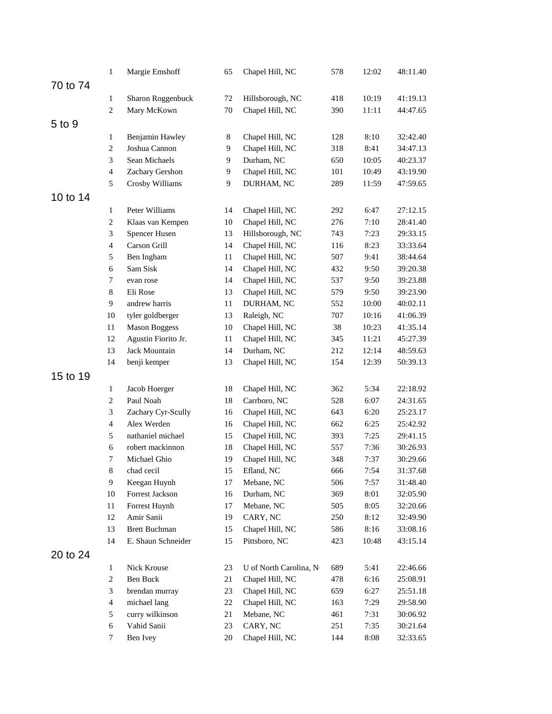|          | $\mathbf{1}$            | Margie Emshoff       | 65 | Chapel Hill, NC        | 578 | 12:02 | 48:11.40 |
|----------|-------------------------|----------------------|----|------------------------|-----|-------|----------|
| 70 to 74 |                         |                      |    |                        |     |       |          |
|          | $\mathbf{1}$            | Sharon Roggenbuck    | 72 | Hillsborough, NC       | 418 | 10:19 | 41:19.13 |
|          | $\boldsymbol{2}$        | Mary McKown          | 70 | Chapel Hill, NC        | 390 | 11:11 | 44:47.65 |
|          |                         |                      |    |                        |     |       |          |
| 5 to 9   |                         |                      |    |                        |     |       |          |
|          | $\mathbf{1}$            | Benjamin Hawley      | 8  | Chapel Hill, NC        | 128 | 8:10  | 32:42.40 |
|          | $\boldsymbol{2}$        | Joshua Cannon        | 9  | Chapel Hill, NC        | 318 | 8:41  | 34:47.13 |
|          | 3                       | Sean Michaels        | 9  | Durham, NC             | 650 | 10:05 | 40:23.37 |
|          | $\overline{4}$          | Zachary Gershon      | 9  | Chapel Hill, NC        | 101 | 10:49 | 43:19.90 |
|          | 5                       | Crosby Williams      | 9  | DURHAM, NC             | 289 | 11:59 | 47:59.65 |
| 10 to 14 |                         |                      |    |                        |     |       |          |
|          | $\mathbf{1}$            | Peter Williams       | 14 | Chapel Hill, NC        | 292 | 6:47  | 27:12.15 |
|          | $\mathbf{2}$            | Klaas van Kempen     | 10 | Chapel Hill, NC        | 276 | 7:10  | 28:41.40 |
|          | 3                       | Spencer Husen        | 13 | Hillsborough, NC       | 743 | 7:23  | 29:33.15 |
|          | $\overline{4}$          | Carson Grill         | 14 | Chapel Hill, NC        | 116 | 8:23  | 33:33.64 |
|          | 5                       | Ben Ingham           | 11 | Chapel Hill, NC        | 507 | 9:41  | 38:44.64 |
|          | $\sqrt{6}$              | Sam Sisk             | 14 | Chapel Hill, NC        | 432 | 9:50  | 39:20.38 |
|          | 7                       | evan rose            | 14 | Chapel Hill, NC        | 537 | 9:50  | 39:23.88 |
|          | 8                       | Eli Rose             | 13 | Chapel Hill, NC        | 579 | 9:50  | 39:23.90 |
|          | 9                       | andrew harris        | 11 | DURHAM, NC             | 552 | 10:00 | 40:02.11 |
|          | 10                      | tyler goldberger     | 13 | Raleigh, NC            | 707 | 10:16 | 41:06.39 |
|          | 11                      | <b>Mason Boggess</b> | 10 | Chapel Hill, NC        | 38  | 10:23 | 41:35.14 |
|          | 12                      | Agustin Fiorito Jr.  | 11 | Chapel Hill, NC        | 345 | 11:21 | 45:27.39 |
|          | 13                      | Jack Mountain        | 14 | Durham, NC             | 212 | 12:14 | 48:59.63 |
|          | 14                      | benji kemper         | 13 | Chapel Hill, NC        | 154 | 12:39 | 50:39.13 |
| 15 to 19 |                         |                      |    |                        |     |       |          |
|          | $\mathbf{1}$            | Jacob Hoerger        | 18 | Chapel Hill, NC        | 362 | 5:34  | 22:18.92 |
|          | $\overline{c}$          | Paul Noah            | 18 | Carrboro, NC           | 528 | 6:07  | 24:31.65 |
|          | 3                       | Zachary Cyr-Scully   | 16 | Chapel Hill, NC        | 643 | 6:20  | 25:23.17 |
|          | $\overline{\mathbf{4}}$ | Alex Werden          | 16 | Chapel Hill, NC        | 662 | 6:25  | 25:42.92 |
|          | 5                       | nathaniel michael    | 15 | Chapel Hill, NC        | 393 | 7:25  | 29:41.15 |
|          | 6                       | robert mackinnon     | 18 | Chapel Hill, NC        | 557 | 7:36  | 30:26.93 |
|          | 7                       | Michael Ghio         | 19 | Chapel Hill, NC        | 348 | 7:37  | 30:29.66 |
|          | $8\,$                   | chad cecil           | 15 | Efland, NC             | 666 | 7:54  | 31:37.68 |
|          | 9                       | Keegan Huynh         | 17 | Mebane, NC             | 506 | 7:57  | 31:48.40 |
|          | $10\,$                  | Forrest Jackson      | 16 | Durham, NC             | 369 | 8:01  | 32:05.90 |
|          | 11                      | Forrest Huynh        | 17 | Mebane, NC             | 505 | 8:05  | 32:20.66 |
|          | 12                      | Amir Sanii           | 19 | CARY, NC               | 250 | 8:12  | 32:49.90 |
|          | 13                      | <b>Brett Buchman</b> | 15 | Chapel Hill, NC        | 586 | 8:16  | 33:08.16 |
|          | 14                      | E. Shaun Schneider   | 15 | Pittsboro, NC          |     | 10:48 | 43:15.14 |
|          |                         |                      |    |                        | 423 |       |          |
| 20 to 24 |                         |                      |    |                        |     |       |          |
|          | $\mathbf{1}$            | Nick Krouse          | 23 | U of North Carolina, N | 689 | 5:41  | 22:46.66 |
|          | $\overline{c}$          | Ben Buck             | 21 | Chapel Hill, NC        | 478 | 6:16  | 25:08.91 |
|          | 3                       | brendan murray       | 23 | Chapel Hill, NC        | 659 | 6:27  | 25:51.18 |
|          | $\overline{4}$          | michael lang         | 22 | Chapel Hill, NC        | 163 | 7:29  | 29:58.90 |
|          | 5                       | curry wilkinson      | 21 | Mebane, NC             | 461 | 7:31  | 30:06.92 |
|          | $\sqrt{6}$              | Vahid Sanii          | 23 | CARY, NC               | 251 | 7:35  | 30:21.64 |
|          | 7                       | Ben Ivey             | 20 | Chapel Hill, NC        | 144 | 8:08  | 32:33.65 |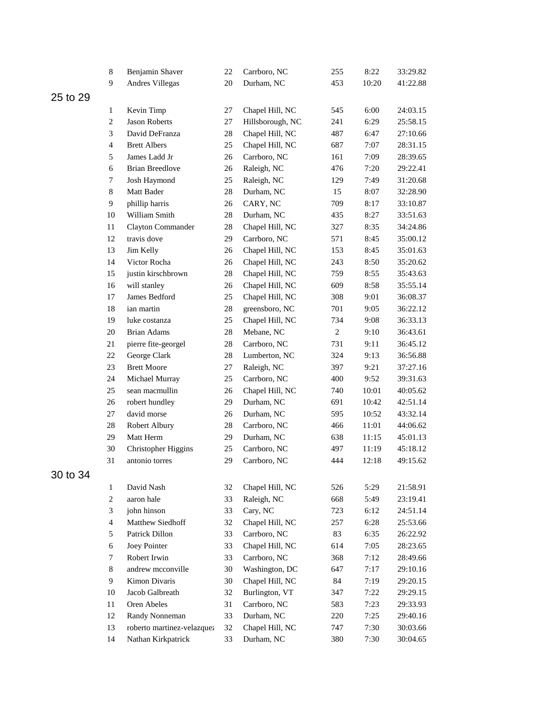|          | 8                | Benjamin Shaver            | 22     | Carrboro, NC     | 255            | 8:22  | 33:29.82 |
|----------|------------------|----------------------------|--------|------------------|----------------|-------|----------|
|          | 9                | Andres Villegas            | 20     | Durham, NC       | 453            | 10:20 | 41:22.88 |
| 25 to 29 |                  |                            |        |                  |                |       |          |
|          | 1                | Kevin Timp                 | 27     | Chapel Hill, NC  | 545            | 6:00  | 24:03.15 |
|          | $\boldsymbol{2}$ | <b>Jason Roberts</b>       | 27     | Hillsborough, NC | 241            | 6:29  | 25:58.15 |
|          | 3                | David DeFranza             | 28     | Chapel Hill, NC  | 487            | 6:47  | 27:10.66 |
|          | $\overline{4}$   | <b>Brett Albers</b>        | 25     | Chapel Hill, NC  | 687            | 7:07  | 28:31.15 |
|          | 5                | James Ladd Jr              | 26     | Carrboro, NC     | 161            | 7:09  | 28:39.65 |
|          | 6                | <b>Brian Breedlove</b>     | 26     | Raleigh, NC      | 476            | 7:20  | 29:22.41 |
|          | $\tau$           | Josh Haymond               | 25     | Raleigh, NC      | 129            | 7:49  | 31:20.68 |
|          | $8\,$            | Matt Bader                 | 28     | Durham, NC       | 15             | 8:07  | 32:28.90 |
|          | 9                | phillip harris             | 26     | CARY, NC         | 709            | 8:17  | 33:10.87 |
|          | 10               | William Smith              | 28     | Durham, NC       | 435            | 8:27  | 33:51.63 |
|          | 11               | Clayton Commander          | 28     | Chapel Hill, NC  | 327            | 8:35  | 34:24.86 |
|          | 12               | travis dove                | 29     | Carrboro, NC     | 571            | 8:45  | 35:00.12 |
|          | 13               | Jim Kelly                  | 26     | Chapel Hill, NC  | 153            | 8:45  | 35:01.63 |
|          | 14               | Victor Rocha               | 26     | Chapel Hill, NC  | 243            | 8:50  | 35:20.62 |
|          | 15               | justin kirschbrown         | $28\,$ | Chapel Hill, NC  | 759            | 8:55  | 35:43.63 |
|          | 16               | will stanley               | 26     | Chapel Hill, NC  | 609            | 8:58  | 35:55.14 |
|          | 17               | James Bedford              | 25     | Chapel Hill, NC  | 308            | 9:01  | 36:08.37 |
|          | 18               | ian martin                 | 28     | greensboro, NC   | 701            | 9:05  | 36:22.12 |
|          | 19               | luke costanza              | 25     | Chapel Hill, NC  | 734            | 9:08  | 36:33.13 |
|          | 20               | <b>Brian Adams</b>         | $28\,$ | Mebane, NC       | $\overline{c}$ | 9:10  | 36:43.61 |
|          | 21               | pierre fite-georgel        | $28\,$ | Carrboro, NC     | 731            | 9:11  | 36:45.12 |
|          | $22\,$           | George Clark               | 28     | Lumberton, NC    | 324            | 9:13  | 36:56.88 |
|          | 23               | <b>Brett Moore</b>         | 27     | Raleigh, NC      | 397            | 9:21  | 37:27.16 |
|          | 24               | Michael Murray             | 25     | Carrboro, NC     | 400            | 9:52  | 39:31.63 |
|          | 25               | sean macmullin             | 26     | Chapel Hill, NC  | 740            | 10:01 | 40:05.62 |
|          | 26               | robert hundley             | 29     | Durham, NC       | 691            | 10:42 | 42:51.14 |
|          | 27               | david morse                | 26     | Durham, NC       | 595            | 10:52 | 43:32.14 |
|          | 28               | Robert Albury              | 28     | Carrboro, NC     | 466            | 11:01 | 44:06.62 |
|          | 29               | Matt Herm                  | 29     | Durham, NC       | 638            | 11:15 | 45:01.13 |
|          | 30               | Christopher Higgins        | 25     | Carrboro, NC     | 497            | 11:19 | 45:18.12 |
|          | 31               | antonio torres             | 29     | Carrboro, NC     | 444            | 12:18 | 49:15.62 |
| 30 to 34 |                  |                            |        |                  |                |       |          |
|          | $\mathbf{1}$     | David Nash                 | 32     | Chapel Hill, NC  | 526            | 5:29  | 21:58.91 |
|          | $\boldsymbol{2}$ | aaron hale                 | 33     | Raleigh, NC      | 668            | 5:49  | 23:19.41 |
|          | 3                | john hinson                | 33     | Cary, NC         | 723            | 6:12  | 24:51.14 |
|          | $\overline{4}$   | Matthew Siedhoff           | 32     | Chapel Hill, NC  | 257            | 6:28  | 25:53.66 |
|          | 5                | Patrick Dillon             | 33     | Carrboro, NC     | 83             | 6:35  | 26:22.92 |
|          | 6                | Joey Pointer               | 33     | Chapel Hill, NC  | 614            | 7:05  | 28:23.65 |
|          | $\tau$           | Robert Irwin               | 33     | Carrboro, NC     | 368            | 7:12  | 28:49.66 |
|          | 8                | andrew mcconville          | 30     | Washington, DC   | 647            | 7:17  | 29:10.16 |
|          | 9                | Kimon Divaris              | 30     | Chapel Hill, NC  | 84             | 7:19  | 29:20.15 |
|          | 10               | Jacob Galbreath            | 32     | Burlington, VT   | 347            | 7:22  | 29:29.15 |
|          | 11               | Oren Abeles                | 31     | Carrboro, NC     | 583            | 7:23  | 29:33.93 |
|          | 12               | Randy Nonneman             | 33     | Durham, NC       | 220            | 7:25  | 29:40.16 |
|          | 13               | roberto martinez-velazquez | 32     | Chapel Hill, NC  | 747            | 7:30  | 30:03.66 |
|          | 14               | Nathan Kirkpatrick         | 33     | Durham, NC       | 380            | 7:30  | 30:04.65 |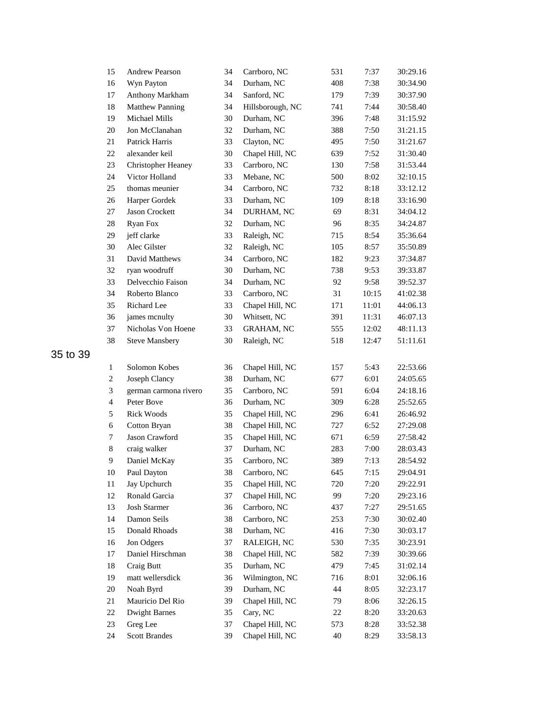| 15             | <b>Andrew Pearson</b>  | 34 | Carrboro, NC      | 531 | 7:37  | 30:29.16 |
|----------------|------------------------|----|-------------------|-----|-------|----------|
| 16             | Wyn Payton             | 34 | Durham, NC        | 408 | 7:38  | 30:34.90 |
| 17             | Anthony Markham        | 34 | Sanford, NC       | 179 | 7:39  | 30:37.90 |
| 18             | <b>Matthew Panning</b> | 34 | Hillsborough, NC  | 741 | 7:44  | 30:58.40 |
| 19             | Michael Mills          | 30 | Durham, NC        | 396 | 7:48  | 31:15.92 |
| $20\,$         | Jon McClanahan         | 32 | Durham, NC        | 388 | 7:50  | 31:21.15 |
| $21\,$         | Patrick Harris         | 33 | Clayton, NC       | 495 | 7:50  | 31:21.67 |
| 22             | alexander keil         | 30 | Chapel Hill, NC   | 639 | 7:52  | 31:30.40 |
| 23             | Christopher Heaney     | 33 | Carrboro, NC      | 130 | 7:58  | 31:53.44 |
| 24             | Victor Holland         | 33 | Mebane, NC        | 500 | 8:02  | 32:10.15 |
| 25             | thomas meunier         | 34 | Carrboro, NC      | 732 | 8:18  | 33:12.12 |
| 26             | Harper Gordek          | 33 | Durham, NC        | 109 | 8:18  | 33:16.90 |
| 27             | Jason Crockett         | 34 | DURHAM, NC        | 69  | 8:31  | 34:04.12 |
| 28             | Ryan Fox               | 32 | Durham, NC        | 96  | 8:35  | 34:24.87 |
| 29             | jeff clarke            | 33 | Raleigh, NC       | 715 | 8:54  | 35:36.64 |
| 30             | Alec Gilster           | 32 | Raleigh, NC       | 105 | 8:57  | 35:50.89 |
| 31             | David Matthews         | 34 | Carrboro, NC      | 182 | 9:23  | 37:34.87 |
| 32             | ryan woodruff          | 30 | Durham, NC        | 738 | 9:53  | 39:33.87 |
| 33             | Delvecchio Faison      | 34 | Durham, NC        | 92  | 9:58  | 39:52.37 |
| 34             | Roberto Blanco         | 33 | Carrboro, NC      | 31  | 10:15 | 41:02.38 |
| 35             | Richard Lee            | 33 | Chapel Hill, NC   | 171 | 11:01 | 44:06.13 |
| 36             | james mcnulty          | 30 | Whitsett, NC      | 391 | 11:31 | 46:07.13 |
| 37             | Nicholas Von Hoene     | 33 | <b>GRAHAM, NC</b> | 555 | 12:02 | 48:11.13 |
| 38             | <b>Steve Mansbery</b>  | 30 | Raleigh, NC       | 518 | 12:47 | 51:11.61 |
|                |                        |    |                   |     |       |          |
| $\mathbf{1}$   | Solomon Kobes          | 36 | Chapel Hill, NC   | 157 | 5:43  | 22:53.66 |
| $\overline{c}$ | Joseph Clancy          | 38 | Durham, NC        | 677 | 6:01  | 24:05.65 |
| $\sqrt{3}$     | german carmona rivero  | 35 | Carrboro, NC      | 591 | 6:04  | 24:18.16 |
| $\overline{4}$ | Peter Bove             | 36 | Durham, NC        | 309 | 6:28  | 25:52.65 |
| 5              | <b>Rick Woods</b>      | 35 | Chapel Hill, NC   | 296 | 6:41  | 26:46.92 |
| 6              | Cotton Bryan           | 38 | Chapel Hill, NC   | 727 | 6:52  | 27:29.08 |
| 7              | Jason Crawford         | 35 | Chapel Hill, NC   | 671 | 6:59  | 27:58.42 |
| $8\,$          | craig walker           | 37 | Durham, NC        | 283 | 7:00  | 28:03.43 |
| 9              | Daniel McKay           | 35 | Carrboro, NC      | 389 | 7:13  | 28:54.92 |
| 10             | Paul Dayton            | 38 | Carrboro, NC      | 645 | 7:15  | 29:04.91 |
| 11             | Jay Upchurch           | 35 | Chapel Hill, NC   | 720 | 7:20  | 29:22.91 |
| 12             | Ronald Garcia          | 37 | Chapel Hill, NC   | 99  | 7:20  | 29:23.16 |
| 13             | Josh Starmer           | 36 | Carrboro, NC      | 437 | 7:27  | 29:51.65 |
| 14             | Damon Seils            | 38 | Carrboro, NC      | 253 | 7:30  | 30:02.40 |
| 15             | Donald Rhoads          | 38 | Durham, NC        | 416 | 7:30  | 30:03.17 |
| 16             | Jon Odgers             | 37 | RALEIGH, NC       | 530 | 7:35  | 30:23.91 |
| 17             | Daniel Hirschman       | 38 | Chapel Hill, NC   | 582 | 7:39  | 30:39.66 |
| 18             | Craig Butt             | 35 | Durham, NC        | 479 | 7:45  | 31:02.14 |
| 19             | matt wellersdick       | 36 | Wilmington, NC    | 716 | 8:01  | 32:06.16 |
| $20\,$         | Noah Byrd              | 39 | Durham, NC        | 44  | 8:05  | 32:23.17 |
| 21             | Mauricio Del Rio       | 39 | Chapel Hill, NC   | 79  | 8:06  | 32:26.15 |
| 22             | <b>Dwight Barnes</b>   | 35 | Cary, NC          | 22  | 8:20  | 33:20.63 |
| 23             | Greg Lee               | 37 | Chapel Hill, NC   | 573 | 8:28  | 33:52.38 |
| 24             | <b>Scott Brandes</b>   | 39 | Chapel Hill, NC   | 40  | 8:29  | 33:58.13 |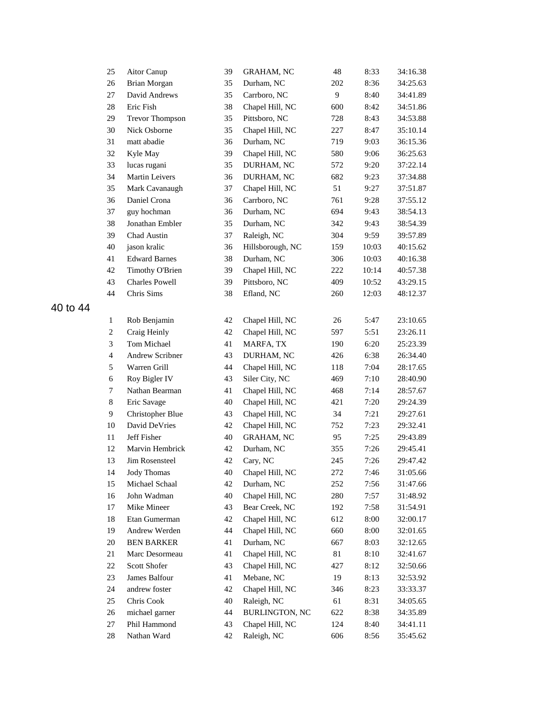| 25             | Aitor Canup            | 39 | <b>GRAHAM, NC</b>     | 48  | 8:33  | 34:16.38 |
|----------------|------------------------|----|-----------------------|-----|-------|----------|
| 26             | Brian Morgan           | 35 | Durham, NC            | 202 | 8:36  | 34:25.63 |
| 27             | David Andrews          | 35 | Carrboro, NC          | 9   | 8:40  | 34:41.89 |
| 28             | Eric Fish              | 38 | Chapel Hill, NC       | 600 | 8:42  | 34:51.86 |
| 29             | <b>Trevor Thompson</b> | 35 | Pittsboro, NC         | 728 | 8:43  | 34:53.88 |
| 30             | Nick Osborne           | 35 | Chapel Hill, NC       | 227 | 8:47  | 35:10.14 |
| 31             | matt abadie            | 36 | Durham, NC            | 719 | 9:03  | 36:15.36 |
| 32             | Kyle May               | 39 | Chapel Hill, NC       | 580 | 9:06  | 36:25.63 |
| 33             | lucas rugani           | 35 | DURHAM, NC            | 572 | 9:20  | 37:22.14 |
| 34             | Martin Leivers         | 36 | DURHAM, NC            | 682 | 9:23  | 37:34.88 |
| 35             | Mark Cavanaugh         | 37 | Chapel Hill, NC       | 51  | 9:27  | 37:51.87 |
| 36             | Daniel Crona           | 36 | Carrboro, NC          | 761 | 9:28  | 37:55.12 |
| 37             | guy hochman            | 36 | Durham, NC            | 694 | 9:43  | 38:54.13 |
| 38             | Jonathan Embler        | 35 | Durham, NC            | 342 | 9:43  | 38:54.39 |
| 39             | Chad Austin            | 37 | Raleigh, NC           | 304 | 9:59  | 39:57.89 |
| 40             | jason kralic           | 36 | Hillsborough, NC      | 159 | 10:03 | 40:15.62 |
| 41             | <b>Edward Barnes</b>   | 38 | Durham, NC            | 306 | 10:03 | 40:16.38 |
| 42             | Timothy O'Brien        | 39 | Chapel Hill, NC       | 222 | 10:14 | 40:57.38 |
| 43             | <b>Charles Powell</b>  | 39 | Pittsboro, NC         | 409 | 10:52 | 43:29.15 |
| 44             | Chris Sims             | 38 | Efland, NC            | 260 | 12:03 | 48:12.37 |
|                |                        |    |                       |     |       |          |
| $\mathbf{1}$   | Rob Benjamin           | 42 | Chapel Hill, NC       | 26  | 5:47  | 23:10.65 |
| $\overline{c}$ | Craig Heinly           | 42 | Chapel Hill, NC       | 597 | 5:51  | 23:26.11 |
| 3              | Tom Michael            | 41 | MARFA, TX             | 190 | 6:20  | 25:23.39 |
| $\overline{4}$ | Andrew Scribner        | 43 | DURHAM, NC            | 426 | 6:38  | 26:34.40 |
| 5              | Warren Grill           | 44 | Chapel Hill, NC       | 118 | 7:04  | 28:17.65 |
| 6              | Roy Bigler IV          | 43 | Siler City, NC        | 469 | 7:10  | 28:40.90 |
| 7              | Nathan Bearman         | 41 | Chapel Hill, NC       | 468 | 7:14  | 28:57.67 |
| $8\,$          | Eric Savage            | 40 | Chapel Hill, NC       | 421 | 7:20  | 29:24.39 |
| $\mathbf{9}$   | Christopher Blue       | 43 | Chapel Hill, NC       | 34  | 7:21  | 29:27.61 |
| 10             | David DeVries          | 42 | Chapel Hill, NC       | 752 | 7:23  | 29:32.41 |
| 11             | Jeff Fisher            | 40 | <b>GRAHAM, NC</b>     | 95  | 7:25  | 29:43.89 |
| 12             | Marvin Hembrick        | 42 | Durham, NC            | 355 | 7:26  | 29:45.41 |
| 13             | Jim Rosensteel         | 42 | Cary, NC              | 245 | 7:26  | 29:47.42 |
| 14             | Jody Thomas            | 40 | Chapel Hill, NC       | 272 | 7:46  | 31:05.66 |
| 15             | Michael Schaal         | 42 | Durham, NC            | 252 | 7:56  | 31:47.66 |
| 16             | John Wadman            | 40 | Chapel Hill, NC       | 280 | 7:57  | 31:48.92 |
| 17             | Mike Mineer            | 43 | Bear Creek, NC        | 192 | 7:58  | 31:54.91 |
| 18             | Etan Gumerman          | 42 | Chapel Hill, NC       | 612 | 8:00  | 32:00.17 |
| 19             | Andrew Werden          | 44 | Chapel Hill, NC       | 660 | 8:00  | 32:01.65 |
| 20             | <b>BEN BARKER</b>      | 41 | Durham, NC            | 667 | 8:03  | 32:12.65 |
| 21             | Marc Desormeau         | 41 | Chapel Hill, NC       | 81  | 8:10  | 32:41.67 |
| 22             | Scott Shofer           | 43 | Chapel Hill, NC       | 427 | 8:12  | 32:50.66 |
| 23             | James Balfour          | 41 | Mebane, NC            | 19  | 8:13  | 32:53.92 |
| 24             | andrew foster          | 42 | Chapel Hill, NC       | 346 | 8:23  | 33:33.37 |
| 25             | Chris Cook             | 40 | Raleigh, NC           | 61  | 8:31  | 34:05.65 |
| 26             | michael garner         | 44 | <b>BURLINGTON, NC</b> | 622 | 8:38  | 34:35.89 |
| 27             | Phil Hammond           | 43 | Chapel Hill, NC       | 124 | 8:40  | 34:41.11 |
| 28             | Nathan Ward            | 42 | Raleigh, NC           | 606 | 8:56  | 35:45.62 |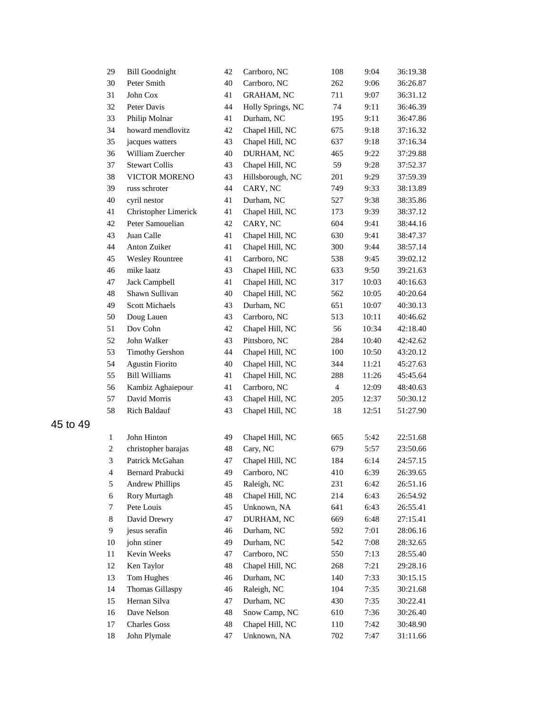| 29               | <b>Bill Goodnight</b>  | 42 | Carrboro, NC      | 108            | 9:04  | 36:19.38 |
|------------------|------------------------|----|-------------------|----------------|-------|----------|
| 30               | Peter Smith            | 40 | Carrboro, NC      | 262            | 9:06  | 36:26.87 |
| 31               | John Cox               | 41 | <b>GRAHAM, NC</b> | 711            | 9:07  | 36:31.12 |
| 32               | Peter Davis            | 44 | Holly Springs, NC | 74             | 9:11  | 36:46.39 |
| 33               | Philip Molnar          | 41 | Durham, NC        | 195            | 9:11  | 36:47.86 |
| 34               | howard mendlovitz      | 42 | Chapel Hill, NC   | 675            | 9:18  | 37:16.32 |
| 35               | jacques watters        | 43 | Chapel Hill, NC   | 637            | 9:18  | 37:16.34 |
| 36               | William Zuercher       | 40 | DURHAM, NC        | 465            | 9:22  | 37:29.88 |
| 37               | <b>Stewart Collis</b>  | 43 | Chapel Hill, NC   | 59             | 9:28  | 37:52.37 |
| 38               | VICTOR MORENO          | 43 | Hillsborough, NC  | 201            | 9:29  | 37:59.39 |
| 39               | russ schroter          | 44 | CARY, NC          | 749            | 9:33  | 38:13.89 |
| 40               | cyril nestor           | 41 | Durham, NC        | 527            | 9:38  | 38:35.86 |
| 41               | Christopher Limerick   | 41 | Chapel Hill, NC   | 173            | 9:39  | 38:37.12 |
| 42               | Peter Samouelian       | 42 | CARY, NC          | 604            | 9:41  | 38:44.16 |
| 43               | Juan Calle             | 41 | Chapel Hill, NC   | 630            | 9:41  | 38:47.37 |
| 44               | Anton Zuiker           | 41 | Chapel Hill, NC   | 300            | 9:44  | 38:57.14 |
| 45               | <b>Wesley Rountree</b> | 41 | Carrboro, NC      | 538            | 9:45  | 39:02.12 |
| 46               | mike laatz             | 43 | Chapel Hill, NC   | 633            | 9:50  | 39:21.63 |
| 47               | Jack Campbell          | 41 | Chapel Hill, NC   | 317            | 10:03 | 40:16.63 |
| 48               | Shawn Sullivan         | 40 | Chapel Hill, NC   | 562            | 10:05 | 40:20.64 |
| 49               | Scott Michaels         | 43 | Durham, NC        | 651            | 10:07 | 40:30.13 |
| 50               | Doug Lauen             | 43 | Carrboro, NC      | 513            | 10:11 | 40:46.62 |
| 51               | Dov Cohn               | 42 | Chapel Hill, NC   | 56             | 10:34 | 42:18.40 |
| 52               | John Walker            | 43 | Pittsboro, NC     | 284            | 10:40 | 42:42.62 |
| 53               | <b>Timothy Gershon</b> | 44 | Chapel Hill, NC   | 100            | 10:50 | 43:20.12 |
| 54               | <b>Agustin Fiorito</b> | 40 | Chapel Hill, NC   | 344            | 11:21 | 45:27.63 |
| 55               | <b>Bill Williams</b>   | 41 | Chapel Hill, NC   | 288            | 11:26 | 45:45.64 |
| 56               | Kambiz Aghaiepour      | 41 | Carrboro, NC      | $\overline{4}$ | 12:09 | 48:40.63 |
| 57               | David Morris           | 43 | Chapel Hill, NC   | 205            | 12:37 | 50:30.12 |
| 58               | Rich Baldauf           | 43 | Chapel Hill, NC   | 18             | 12:51 | 51:27.90 |
|                  |                        |    |                   |                |       |          |
| $\mathbf{1}$     | John Hinton            | 49 | Chapel Hill, NC   | 665            | 5:42  | 22:51.68 |
| $\boldsymbol{2}$ | christopher barajas    | 48 | Cary, NC          | 679            | 5:57  | 23:50.66 |
| 3                | Patrick McGahan        | 47 | Chapel Hill, NC   | 184            | 6:14  | 24:57.15 |
| $\overline{4}$   | Bernard Prabucki       | 49 | Carrboro, NC      | 410            | 6:39  | 26:39.65 |
| 5                | <b>Andrew Phillips</b> | 45 | Raleigh, NC       | 231            | 6:42  | 26:51.16 |
| 6                | Rory Murtagh           | 48 | Chapel Hill, NC   | 214            | 6:43  | 26:54.92 |
| 7                | Pete Louis             | 45 | Unknown, NA       | 641            | 6:43  | 26:55.41 |
| $8\,$            | David Drewry           | 47 | DURHAM, NC        | 669            | 6:48  | 27:15.41 |
| 9                | jesus serafin          | 46 | Durham, NC        | 592            | 7:01  | 28:06.16 |
| $10\,$           | john stiner            | 49 | Durham, NC        | 542            | 7:08  | 28:32.65 |
| 11               | Kevin Weeks            | 47 | Carrboro, NC      | 550            | 7:13  | 28:55.40 |
| 12               | Ken Taylor             | 48 | Chapel Hill, NC   | 268            | 7:21  | 29:28.16 |
| 13               | Tom Hughes             | 46 | Durham, NC        | 140            | 7:33  | 30:15.15 |
| 14               | Thomas Gillaspy        | 46 | Raleigh, NC       | 104            | 7:35  | 30:21.68 |
| 15               | Hernan Silva           | 47 | Durham, NC        | 430            | 7:35  | 30:22.41 |
| 16               | Dave Nelson            | 48 | Snow Camp, NC     | 610            | 7:36  | 30:26.40 |
| 17               | <b>Charles Goss</b>    | 48 | Chapel Hill, NC   | 110            | 7:42  | 30:48.90 |
| 18               | John Plymale           | 47 | Unknown, NA       | 702            | 7:47  | 31:11.66 |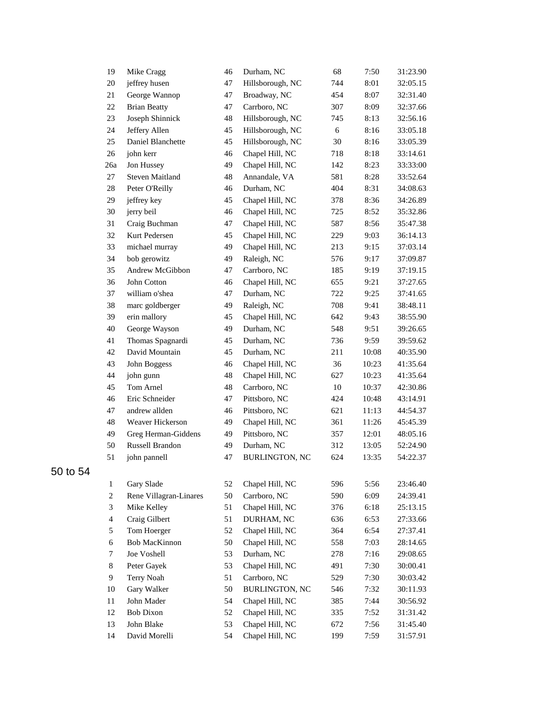| 19             | Mike Cragg             | 46 | Durham, NC            | 68     | 7:50  | 31:23.90 |
|----------------|------------------------|----|-----------------------|--------|-------|----------|
| $20\,$         | jeffrey husen          | 47 | Hillsborough, NC      | 744    | 8:01  | 32:05.15 |
| 21             | George Wannop          | 47 | Broadway, NC          | 454    | 8:07  | 32:31.40 |
| $22\,$         | <b>Brian Beatty</b>    | 47 | Carrboro, NC          | 307    | 8:09  | 32:37.66 |
| 23             | Joseph Shinnick        | 48 | Hillsborough, NC      | 745    | 8:13  | 32:56.16 |
| 24             | Jeffery Allen          | 45 | Hillsborough, NC      | 6      | 8:16  | 33:05.18 |
| 25             | Daniel Blanchette      | 45 | Hillsborough, NC      | 30     | 8:16  | 33:05.39 |
| $26\,$         | john kerr              | 46 | Chapel Hill, NC       | 718    | 8:18  | 33:14.61 |
| 26a            | Jon Hussey             | 49 | Chapel Hill, NC       | 142    | 8:23  | 33:33:00 |
| 27             | <b>Steven Maitland</b> | 48 | Annandale, VA         | 581    | 8:28  | 33:52.64 |
| $28\,$         | Peter O'Reilly         | 46 | Durham, NC            | 404    | 8:31  | 34:08.63 |
| 29             | jeffrey key            | 45 | Chapel Hill, NC       | 378    | 8:36  | 34:26.89 |
| 30             | jerry beil             | 46 | Chapel Hill, NC       | 725    | 8:52  | 35:32.86 |
| 31             | Craig Buchman          | 47 | Chapel Hill, NC       | 587    | 8:56  | 35:47.38 |
| 32             | Kurt Pedersen          | 45 | Chapel Hill, NC       | 229    | 9:03  | 36:14.13 |
| 33             | michael murray         | 49 | Chapel Hill, NC       | 213    | 9:15  | 37:03.14 |
| 34             | bob gerowitz           | 49 | Raleigh, NC           | 576    | 9:17  | 37:09.87 |
| 35             | Andrew McGibbon        | 47 | Carrboro, NC          | 185    | 9:19  | 37:19.15 |
| 36             | John Cotton            | 46 | Chapel Hill, NC       | 655    | 9:21  | 37:27.65 |
| 37             | william o'shea         | 47 | Durham, NC            | 722    | 9:25  | 37:41.65 |
| 38             | marc goldberger        | 49 | Raleigh, NC           | 708    | 9:41  | 38:48.11 |
| 39             | erin mallory           | 45 | Chapel Hill, NC       | 642    | 9:43  | 38:55.90 |
| 40             | George Wayson          | 49 | Durham, NC            | 548    | 9:51  | 39:26.65 |
| 41             | Thomas Spagnardi       | 45 | Durham, NC            | 736    | 9:59  | 39:59.62 |
| 42             | David Mountain         | 45 | Durham, NC            | 211    | 10:08 | 40:35.90 |
| 43             | John Boggess           | 46 | Chapel Hill, NC       | 36     | 10:23 | 41:35.64 |
| 44             | john gunn              | 48 | Chapel Hill, NC       | 627    | 10:23 | 41:35.64 |
| 45             | Tom Arnel              | 48 | Carrboro, NC          | $10\,$ | 10:37 | 42:30.86 |
| 46             | Eric Schneider         | 47 | Pittsboro, NC         | 424    | 10:48 | 43:14.91 |
| 47             | andrew allden          | 46 | Pittsboro, NC         | 621    | 11:13 | 44:54.37 |
| 48             | Weaver Hickerson       | 49 | Chapel Hill, NC       | 361    | 11:26 | 45:45.39 |
| 49             | Greg Herman-Giddens    | 49 | Pittsboro, NC         | 357    | 12:01 | 48:05.16 |
| 50             | Russell Brandon        | 49 | Durham, NC            | 312    | 13:05 | 52:24.90 |
| 51             | john pannell           | 47 | <b>BURLINGTON, NC</b> | 624    | 13:35 | 54:22.37 |
| $\mathbf{1}$   | Gary Slade             | 52 | Chapel Hill, NC       | 596    | 5:56  | 23:46.40 |
| $\overline{c}$ | Rene Villagran-Linares | 50 | Carrboro, NC          | 590    | 6:09  | 24:39.41 |
| 3              | Mike Kelley            | 51 | Chapel Hill, NC       | 376    | 6:18  | 25:13.15 |
| 4              | Craig Gilbert          | 51 | DURHAM, NC            | 636    | 6:53  | 27:33.66 |
| 5              | Tom Hoerger            | 52 | Chapel Hill, NC       | 364    | 6:54  | 27:37.41 |
| 6              | <b>Bob MacKinnon</b>   | 50 | Chapel Hill, NC       | 558    | 7:03  | 28:14.65 |
| 7              | Joe Voshell            | 53 | Durham, NC            | 278    | 7:16  | 29:08.65 |
| 8              | Peter Gayek            | 53 | Chapel Hill, NC       | 491    | 7:30  | 30:00.41 |
| 9              | Terry Noah             | 51 | Carrboro, NC          | 529    | 7:30  | 30:03.42 |
| 10             | Gary Walker            | 50 | <b>BURLINGTON, NC</b> | 546    | 7:32  | 30:11.93 |
| 11             | John Mader             | 54 | Chapel Hill, NC       | 385    | 7:44  | 30:56.92 |
| 12             | Bob Dixon              | 52 | Chapel Hill, NC       | 335    | 7:52  | 31:31.42 |
| 13             | John Blake             | 53 | Chapel Hill, NC       | 672    | 7:56  | 31:45.40 |
| 14             | David Morelli          | 54 | Chapel Hill, NC       | 199    | 7:59  | 31:57.91 |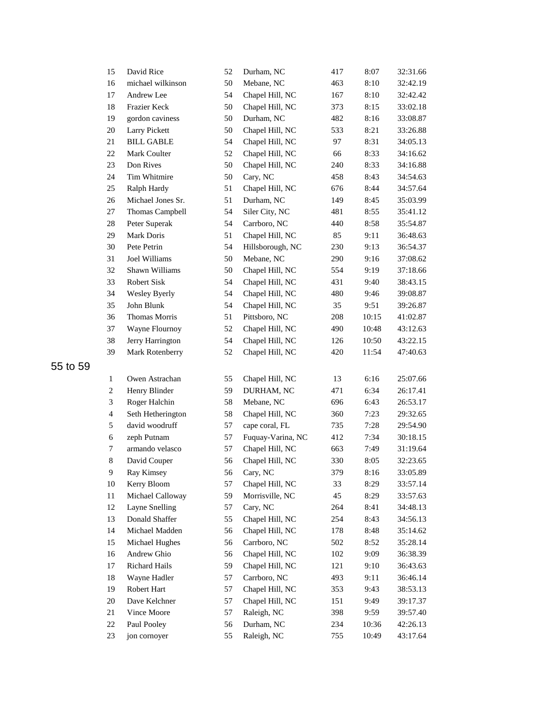| 15                       | David Rice        | 52 | Durham, NC        | 417 | 8:07  | 32:31.66 |
|--------------------------|-------------------|----|-------------------|-----|-------|----------|
| 16                       | michael wilkinson | 50 | Mebane, NC        | 463 | 8:10  | 32:42.19 |
| 17                       | Andrew Lee        | 54 | Chapel Hill, NC   | 167 | 8:10  | 32:42.42 |
| 18                       | Frazier Keck      | 50 | Chapel Hill, NC   | 373 | 8:15  | 33:02.18 |
| 19                       | gordon caviness   | 50 | Durham, NC        | 482 | 8:16  | 33:08.87 |
| 20                       | Larry Pickett     | 50 | Chapel Hill, NC   | 533 | 8:21  | 33:26.88 |
| $21\,$                   | <b>BILL GABLE</b> | 54 | Chapel Hill, NC   | 97  | 8:31  | 34:05.13 |
| 22                       | Mark Coulter      | 52 | Chapel Hill, NC   | 66  | 8:33  | 34:16.62 |
| 23                       | Don Rives         | 50 | Chapel Hill, NC   | 240 | 8:33  | 34:16.88 |
| 24                       | Tim Whitmire      | 50 | Cary, NC          | 458 | 8:43  | 34:54.63 |
| 25                       | Ralph Hardy       | 51 | Chapel Hill, NC   | 676 | 8:44  | 34:57.64 |
| $26\,$                   | Michael Jones Sr. | 51 | Durham, NC        | 149 | 8:45  | 35:03.99 |
| 27                       | Thomas Campbell   | 54 | Siler City, NC    | 481 | 8:55  | 35:41.12 |
| 28                       | Peter Superak     | 54 | Carrboro, NC      | 440 | 8:58  | 35:54.87 |
| 29                       | Mark Doris        | 51 | Chapel Hill, NC   | 85  | 9:11  | 36:48.63 |
| 30                       | Pete Petrin       | 54 | Hillsborough, NC  | 230 | 9:13  | 36:54.37 |
| 31                       | Joel Williams     | 50 | Mebane, NC        | 290 | 9:16  | 37:08.62 |
| 32                       | Shawn Williams    | 50 | Chapel Hill, NC   | 554 | 9:19  | 37:18.66 |
| 33                       | Robert Sisk       | 54 | Chapel Hill, NC   | 431 | 9:40  | 38:43.15 |
| 34                       | Wesley Byerly     | 54 | Chapel Hill, NC   | 480 | 9:46  | 39:08.87 |
| 35                       | John Blunk        | 54 | Chapel Hill, NC   | 35  | 9:51  | 39:26.87 |
| 36                       | Thomas Morris     | 51 | Pittsboro, NC     | 208 | 10:15 | 41:02.87 |
| 37                       | Wayne Flournoy    | 52 | Chapel Hill, NC   | 490 | 10:48 | 43:12.63 |
| $38\,$                   | Jerry Harrington  | 54 | Chapel Hill, NC   | 126 | 10:50 | 43:22.15 |
| 39                       | Mark Rotenberry   | 52 | Chapel Hill, NC   | 420 | 11:54 | 47:40.63 |
|                          |                   |    |                   |     |       |          |
| $\mathbf{1}$             | Owen Astrachan    | 55 | Chapel Hill, NC   | 13  | 6:16  | 25:07.66 |
| 2                        | Henry Blinder     | 59 | DURHAM, NC        | 471 | 6:34  | 26:17.41 |
| 3                        | Roger Halchin     | 58 | Mebane, NC        | 696 | 6:43  | 26:53.17 |
| $\overline{\mathcal{A}}$ | Seth Hetherington | 58 | Chapel Hill, NC   | 360 | 7:23  | 29:32.65 |
| 5                        | david woodruff    | 57 | cape coral, FL    | 735 | 7:28  | 29:54.90 |
| 6                        | zeph Putnam       | 57 | Fuquay-Varina, NC | 412 | 7:34  | 30:18.15 |
| 7                        | armando velasco   | 57 | Chapel Hill, NC   | 663 | 7:49  | 31:19.64 |
| $\,$ $\,$                | David Couper      | 56 | Chapel Hill, NC   | 330 | 8:05  | 32:23.65 |
| 9                        | Ray Kimsey        | 56 | Cary, NC          | 379 | 8:16  | 33:05.89 |
| 10                       | Kerry Bloom       | 57 | Chapel Hill, NC   | 33  | 8:29  | 33:57.14 |
| 11                       | Michael Calloway  | 59 | Morrisville, NC   | 45  | 8:29  | 33:57.63 |
| 12                       | Layne Snelling    | 57 | Cary, NC          | 264 | 8:41  | 34:48.13 |
| 13                       | Donald Shaffer    | 55 | Chapel Hill, NC   | 254 | 8:43  | 34:56.13 |
| 14                       | Michael Madden    | 56 | Chapel Hill, NC   | 178 | 8:48  | 35:14.62 |
| 15                       | Michael Hughes    | 56 | Carrboro, NC      | 502 | 8:52  | 35:28.14 |
| 16                       | Andrew Ghio       | 56 | Chapel Hill, NC   | 102 | 9:09  | 36:38.39 |
| 17                       | Richard Hails     | 59 | Chapel Hill, NC   | 121 | 9:10  | 36:43.63 |
| 18                       | Wayne Hadler      | 57 | Carrboro, NC      | 493 | 9:11  | 36:46.14 |
| 19                       | Robert Hart       | 57 | Chapel Hill, NC   | 353 | 9:43  | 38:53.13 |
| 20                       | Dave Kelchner     | 57 | Chapel Hill, NC   | 151 | 9:49  | 39:17.37 |
| 21                       | Vince Moore       | 57 | Raleigh, NC       | 398 | 9:59  | 39:57.40 |
| 22                       | Paul Pooley       | 56 | Durham, NC        | 234 | 10:36 | 42:26.13 |
| 23                       | jon cornoyer      | 55 | Raleigh, NC       | 755 | 10:49 | 43:17.64 |